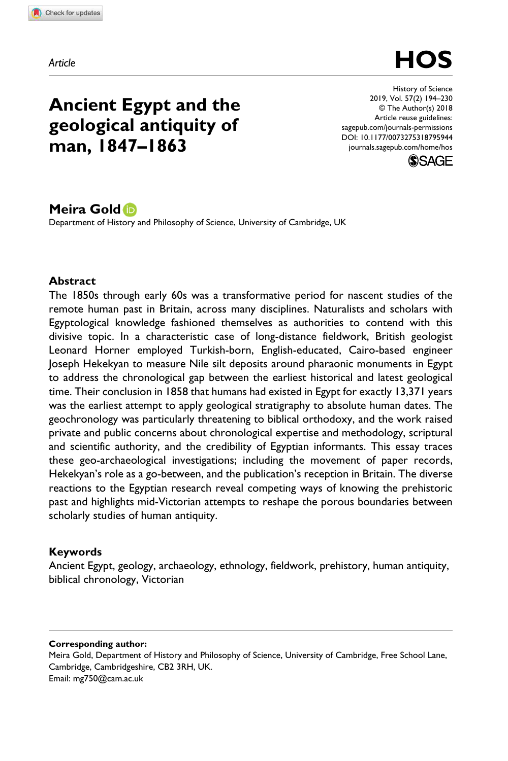**795944** HOS0010.1177/0073275318795944History of Science**Gold**

*Article*

**HOS**

# **Ancient Egypt and the geological antiquity of man, 1847–1863**

https://doi.org/10.1177/0073275318795944 DOI: 10.1177/0073275318795944 History of Science 2019, Vol. 57(2) 194-230 © The Author(s) 2018 Article reuse guidelines: sagepub.com/journals-permissions journals.sagepub.com/home/hos



### **Meira Gold**

Department of History and Philosophy of Science, University of Cambridge, UK

#### **Abstract**

The 1850s through early 60s was a transformative period for nascent studies of the remote human past in Britain, across many disciplines. Naturalists and scholars with Egyptological knowledge fashioned themselves as authorities to contend with this divisive topic. In a characteristic case of long-distance fieldwork, British geologist Leonard Horner employed Turkish-born, English-educated, Cairo-based engineer Joseph Hekekyan to measure Nile silt deposits around pharaonic monuments in Egypt to address the chronological gap between the earliest historical and latest geological time. Their conclusion in 1858 that humans had existed in Egypt for exactly 13,371 years was the earliest attempt to apply geological stratigraphy to absolute human dates. The geochronology was particularly threatening to biblical orthodoxy, and the work raised private and public concerns about chronological expertise and methodology, scriptural and scientific authority, and the credibility of Egyptian informants. This essay traces these geo-archaeological investigations; including the movement of paper records, Hekekyan's role as a go-between, and the publication's reception in Britain. The diverse reactions to the Egyptian research reveal competing ways of knowing the prehistoric past and highlights mid-Victorian attempts to reshape the porous boundaries between scholarly studies of human antiquity.

#### **Keywords**

Ancient Egypt, geology, archaeology, ethnology, fieldwork, prehistory, human antiquity, biblical chronology, Victorian

#### **Corresponding author:**

Meira Gold, Department of History and Philosophy of Science, University of Cambridge, Free School Lane, Cambridge, Cambridgeshire, CB2 3RH, UK. Email: mg750@cam.ac.uk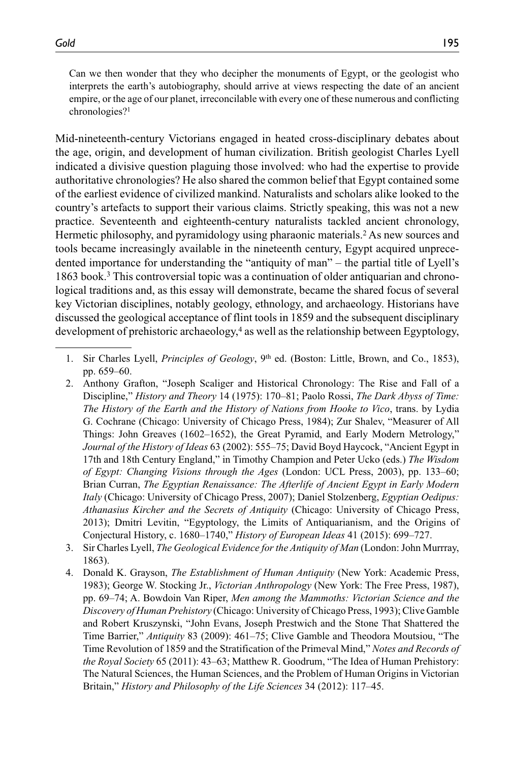Can we then wonder that they who decipher the monuments of Egypt, or the geologist who interprets the earth's autobiography, should arrive at views respecting the date of an ancient empire, or the age of our planet, irreconcilable with every one of these numerous and conflicting chronologies?<sup>1</sup>

Mid-nineteenth-century Victorians engaged in heated cross-disciplinary debates about the age, origin, and development of human civilization. British geologist Charles Lyell indicated a divisive question plaguing those involved: who had the expertise to provide authoritative chronologies? He also shared the common belief that Egypt contained some of the earliest evidence of civilized mankind. Naturalists and scholars alike looked to the country's artefacts to support their various claims. Strictly speaking, this was not a new practice. Seventeenth and eighteenth-century naturalists tackled ancient chronology, Hermetic philosophy, and pyramidology using pharaonic materials.<sup>2</sup> As new sources and tools became increasingly available in the nineteenth century, Egypt acquired unprecedented importance for understanding the "antiquity of man" – the partial title of Lyell's 1863 book.<sup>3</sup> This controversial topic was a continuation of older antiquarian and chronological traditions and, as this essay will demonstrate, became the shared focus of several key Victorian disciplines, notably geology, ethnology, and archaeology. Historians have discussed the geological acceptance of flint tools in 1859 and the subsequent disciplinary development of prehistoric archaeology,<sup>4</sup> as well as the relationship between Egyptology,

- 1. Sir Charles Lyell, *Principles of Geology*, 9<sup>th</sup> ed. (Boston: Little, Brown, and Co., 1853), pp. 659–60.
- 2. Anthony Grafton, "Joseph Scaliger and Historical Chronology: The Rise and Fall of a Discipline," *History and Theory* 14 (1975): 170–81; Paolo Rossi, *The Dark Abyss of Time: The History of the Earth and the History of Nations from Hooke to Vico*, trans. by Lydia G. Cochrane (Chicago: University of Chicago Press, 1984); Zur Shalev, "Measurer of All Things: John Greaves (1602–1652), the Great Pyramid, and Early Modern Metrology," *Journal of the History of Ideas* 63 (2002): 555–75; David Boyd Haycock, "Ancient Egypt in 17th and 18th Century England," in Timothy Champion and Peter Ucko (eds.) *The Wisdom of Egypt: Changing Visions through the Ages* (London: UCL Press, 2003), pp. 133–60; Brian Curran, *The Egyptian Renaissance: The Afterlife of Ancient Egypt in Early Modern Italy* (Chicago: University of Chicago Press, 2007); Daniel Stolzenberg, *Egyptian Oedipus: Athanasius Kircher and the Secrets of Antiquity* (Chicago: University of Chicago Press, 2013); Dmitri Levitin, "Egyptology, the Limits of Antiquarianism, and the Origins of Conjectural History, c. 1680–1740," *History of European Ideas* 41 (2015): 699–727.
- 3. Sir Charles Lyell, *The Geological Evidence for the Antiquity of Man* (London: John Murrray, 1863).
- 4. Donald K. Grayson, *The Establishment of Human Antiquity* (New York: Academic Press, 1983); George W. Stocking Jr., *Victorian Anthropology* (New York: The Free Press, 1987), pp. 69–74; A. Bowdoin Van Riper, *Men among the Mammoths: Victorian Science and the Discovery of Human Prehistory* (Chicago: University of Chicago Press, 1993); Clive Gamble and Robert Kruszynski, "John Evans, Joseph Prestwich and the Stone That Shattered the Time Barrier," *Antiquity* 83 (2009): 461–75; Clive Gamble and Theodora Moutsiou, "The Time Revolution of 1859 and the Stratification of the Primeval Mind," *Notes and Records of the Royal Society* 65 (2011): 43–63; Matthew R. Goodrum, "The Idea of Human Prehistory: The Natural Sciences, the Human Sciences, and the Problem of Human Origins in Victorian Britain," *History and Philosophy of the Life Sciences* 34 (2012): 117–45.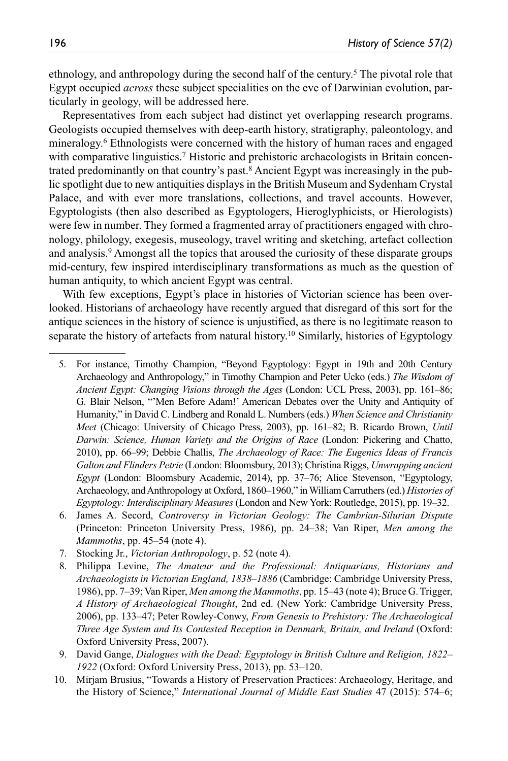ethnology, and anthropology during the second half of the century.<sup>5</sup> The pivotal role that Egypt occupied *across* these subject specialities on the eve of Darwinian evolution, particularly in geology, will be addressed here.

Representatives from each subject had distinct yet overlapping research programs. Geologists occupied themselves with deep-earth history, stratigraphy, paleontology, and mineralogy.<sup>6</sup> Ethnologists were concerned with the history of human races and engaged with comparative linguistics.<sup>7</sup> Historic and prehistoric archaeologists in Britain concentrated predominantly on that country's past.<sup>8</sup> Ancient Egypt was increasingly in the public spotlight due to new antiquities displays in the British Museum and Sydenham Crystal Palace, and with ever more translations, collections, and travel accounts. However, Egyptologists (then also described as Egyptologers, Hieroglyphicists, or Hierologists) were few in number. They formed a fragmented array of practitioners engaged with chronology, philology, exegesis, museology, travel writing and sketching, artefact collection and analysis.<sup>9</sup> Amongst all the topics that aroused the curiosity of these disparate groups mid-century, few inspired interdisciplinary transformations as much as the question of human antiquity, to which ancient Egypt was central.

With few exceptions, Egypt's place in histories of Victorian science has been overlooked. Historians of archaeology have recently argued that disregard of this sort for the antique sciences in the history of science is unjustified, as there is no legitimate reason to separate the history of artefacts from natural history.<sup>10</sup> Similarly, histories of Egyptology

- 7. Stocking Jr., *Victorian Anthropology*, p. 52 (note 4).
- 8. Philippa Levine, *The Amateur and the Professional: Antiquarians, Historians and Archaeologists in Victorian England, 1838–1886* (Cambridge: Cambridge University Press, 1986), pp. 7–39; Van Riper, *Men among the Mammoths*, pp. 15–43 (note 4); Bruce G. Trigger, *A History of Archaeological Thought*, 2nd ed. (New York: Cambridge University Press, 2006), pp. 133–47; Peter Rowley-Conwy, *From Genesis to Prehistory: The Archaeological Three Age System and Its Contested Reception in Denmark, Britain, and Ireland* (Oxford: Oxford University Press, 2007).
- 9. David Gange, *Dialogues with the Dead: Egyptology in British Culture and Religion, 1822– 1922* (Oxford: Oxford University Press, 2013), pp. 53–120.
- 10. Mirjam Brusius, "Towards a History of Preservation Practices: Archaeology, Heritage, and the History of Science," *International Journal of Middle East Studies* 47 (2015): 574–6;

 <sup>5.</sup> For instance, Timothy Champion, "Beyond Egyptology: Egypt in 19th and 20th Century Archaeology and Anthropology," in Timothy Champion and Peter Ucko (eds.) *The Wisdom of Ancient Egypt: Changing Visions through the Ages* (London: UCL Press, 2003), pp. 161–86; G. Blair Nelson, "'Men Before Adam!' American Debates over the Unity and Antiquity of Humanity," in David C. Lindberg and Ronald L. Numbers (eds.) *When Science and Christianity Meet* (Chicago: University of Chicago Press, 2003), pp. 161–82; B. Ricardo Brown, *Until Darwin: Science, Human Variety and the Origins of Race* (London: Pickering and Chatto, 2010), pp. 66–99; Debbie Challis, *The Archaeology of Race: The Eugenics Ideas of Francis Galton and Flinders Petrie* (London: Bloomsbury, 2013); Christina Riggs, *Unwrapping ancient Egypt* (London: Bloomsbury Academic, 2014), pp. 37–76; Alice Stevenson, "Egyptology, Archaeology, and Anthropology at Oxford, 1860–1960," in William Carruthers (ed.) *Histories of Egyptology: Interdisciplinary Measures* (London and New York: Routledge, 2015), pp. 19–32.

 <sup>6.</sup> James A. Secord, *Controversy in Victorian Geology: The Cambrian-Silurian Dispute* (Princeton: Princeton University Press, 1986), pp. 24–38; Van Riper, *Men among the Mammoths*, pp. 45–54 (note 4).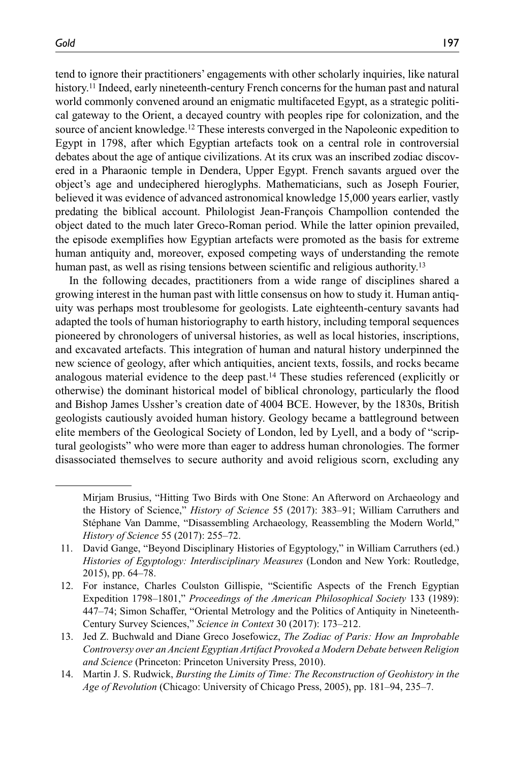tend to ignore their practitioners' engagements with other scholarly inquiries, like natural history.<sup>11</sup> Indeed, early nineteenth-century French concerns for the human past and natural world commonly convened around an enigmatic multifaceted Egypt, as a strategic political gateway to the Orient, a decayed country with peoples ripe for colonization, and the source of ancient knowledge.<sup>12</sup> These interests converged in the Napoleonic expedition to Egypt in 1798, after which Egyptian artefacts took on a central role in controversial debates about the age of antique civilizations. At its crux was an inscribed zodiac discovered in a Pharaonic temple in Dendera, Upper Egypt. French savants argued over the object's age and undeciphered hieroglyphs. Mathematicians, such as Joseph Fourier, believed it was evidence of advanced astronomical knowledge 15,000 years earlier, vastly predating the biblical account. Philologist Jean-François Champollion contended the object dated to the much later Greco-Roman period. While the latter opinion prevailed, the episode exemplifies how Egyptian artefacts were promoted as the basis for extreme human antiquity and, moreover, exposed competing ways of understanding the remote human past, as well as rising tensions between scientific and religious authority.<sup>13</sup>

In the following decades, practitioners from a wide range of disciplines shared a growing interest in the human past with little consensus on how to study it. Human antiquity was perhaps most troublesome for geologists. Late eighteenth-century savants had adapted the tools of human historiography to earth history, including temporal sequences pioneered by chronologers of universal histories, as well as local histories, inscriptions, and excavated artefacts. This integration of human and natural history underpinned the new science of geology, after which antiquities, ancient texts, fossils, and rocks became analogous material evidence to the deep past.<sup>14</sup> These studies referenced (explicitly or otherwise) the dominant historical model of biblical chronology, particularly the flood and Bishop James Ussher's creation date of 4004 BCE. However, by the 1830s, British geologists cautiously avoided human history. Geology became a battleground between elite members of the Geological Society of London, led by Lyell, and a body of "scriptural geologists" who were more than eager to address human chronologies. The former disassociated themselves to secure authority and avoid religious scorn, excluding any

Mirjam Brusius, "Hitting Two Birds with One Stone: An Afterword on Archaeology and the History of Science," *History of Science* 55 (2017): 383–91; William Carruthers and Stéphane Van Damme, "Disassembling Archaeology, Reassembling the Modern World," *History of Science* 55 (2017): 255–72.

 <sup>11.</sup> David Gange, "Beyond Disciplinary Histories of Egyptology," in William Carruthers (ed.) *Histories of Egyptology: Interdisciplinary Measures* (London and New York: Routledge, 2015), pp. 64–78.

 <sup>12.</sup> For instance, Charles Coulston Gillispie, "Scientific Aspects of the French Egyptian Expedition 1798–1801," *Proceedings of the American Philosophical Society* 133 (1989): 447–74; Simon Schaffer, "Oriental Metrology and the Politics of Antiquity in Nineteenth-Century Survey Sciences," *Science in Context* 30 (2017): 173–212.

 <sup>13.</sup> Jed Z. Buchwald and Diane Greco Josefowicz, *The Zodiac of Paris: How an Improbable Controversy over an Ancient Egyptian Artifact Provoked a Modern Debate between Religion and Science* (Princeton: Princeton University Press, 2010).

 <sup>14.</sup> Martin J. S. Rudwick, *Bursting the Limits of Time: The Reconstruction of Geohistory in the Age of Revolution* (Chicago: University of Chicago Press, 2005), pp. 181–94, 235–7.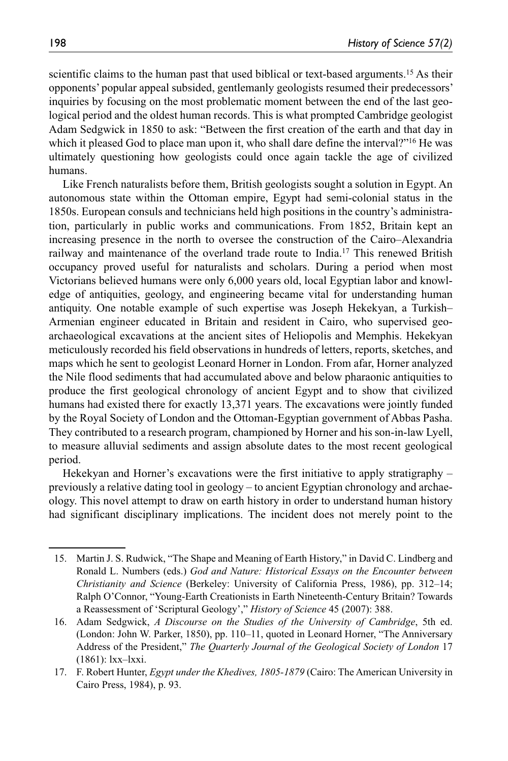scientific claims to the human past that used biblical or text-based arguments.<sup>15</sup> As their opponents' popular appeal subsided, gentlemanly geologists resumed their predecessors' inquiries by focusing on the most problematic moment between the end of the last geological period and the oldest human records. This is what prompted Cambridge geologist Adam Sedgwick in 1850 to ask: "Between the first creation of the earth and that day in which it pleased God to place man upon it, who shall dare define the interval?"<sup>16</sup> He was ultimately questioning how geologists could once again tackle the age of civilized humans.

Like French naturalists before them, British geologists sought a solution in Egypt. An autonomous state within the Ottoman empire, Egypt had semi-colonial status in the 1850s. European consuls and technicians held high positions in the country's administration, particularly in public works and communications. From 1852, Britain kept an increasing presence in the north to oversee the construction of the Cairo–Alexandria railway and maintenance of the overland trade route to India.<sup>17</sup> This renewed British occupancy proved useful for naturalists and scholars. During a period when most Victorians believed humans were only 6,000 years old, local Egyptian labor and knowledge of antiquities, geology, and engineering became vital for understanding human antiquity. One notable example of such expertise was Joseph Hekekyan, a Turkish– Armenian engineer educated in Britain and resident in Cairo, who supervised geoarchaeological excavations at the ancient sites of Heliopolis and Memphis. Hekekyan meticulously recorded his field observations in hundreds of letters, reports, sketches, and maps which he sent to geologist Leonard Horner in London. From afar, Horner analyzed the Nile flood sediments that had accumulated above and below pharaonic antiquities to produce the first geological chronology of ancient Egypt and to show that civilized humans had existed there for exactly 13,371 years. The excavations were jointly funded by the Royal Society of London and the Ottoman-Egyptian government of Abbas Pasha. They contributed to a research program, championed by Horner and his son-in-law Lyell, to measure alluvial sediments and assign absolute dates to the most recent geological period.

Hekekyan and Horner's excavations were the first initiative to apply stratigraphy – previously a relative dating tool in geology – to ancient Egyptian chronology and archaeology. This novel attempt to draw on earth history in order to understand human history had significant disciplinary implications. The incident does not merely point to the

 <sup>15.</sup> Martin J. S. Rudwick, "The Shape and Meaning of Earth History," in David C. Lindberg and Ronald L. Numbers (eds.) *God and Nature: Historical Essays on the Encounter between Christianity and Science* (Berkeley: University of California Press, 1986), pp. 312–14; Ralph O'Connor, "Young-Earth Creationists in Earth Nineteenth-Century Britain? Towards a Reassessment of 'Scriptural Geology'," *History of Science* 45 (2007): 388.

 <sup>16.</sup> Adam Sedgwick, *A Discourse on the Studies of the University of Cambridge*, 5th ed. (London: John W. Parker, 1850), pp. 110–11, quoted in Leonard Horner, "The Anniversary Address of the President," *The Quarterly Journal of the Geological Society of London* 17 (1861): lxx–lxxi.

 <sup>17.</sup> F. Robert Hunter, *Egypt under the Khedives, 1805-1879* (Cairo: The American University in Cairo Press, 1984), p. 93.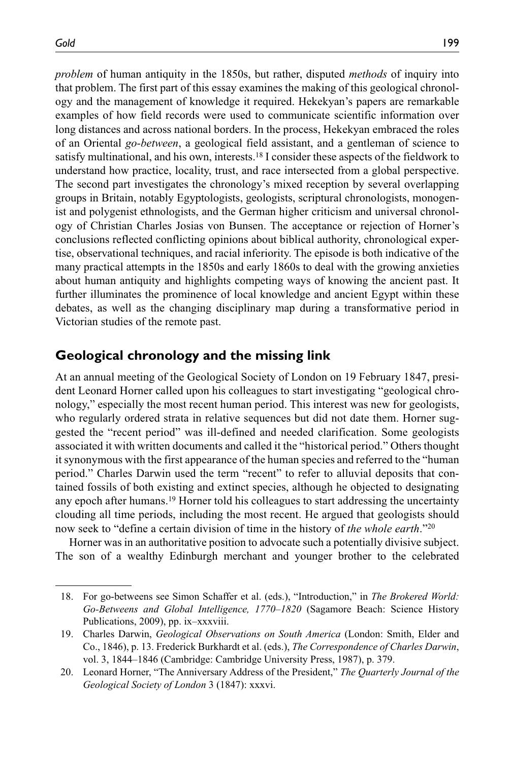*problem* of human antiquity in the 1850s, but rather, disputed *methods* of inquiry into that problem. The first part of this essay examines the making of this geological chronology and the management of knowledge it required. Hekekyan's papers are remarkable examples of how field records were used to communicate scientific information over long distances and across national borders. In the process, Hekekyan embraced the roles of an Oriental *go-between*, a geological field assistant, and a gentleman of science to satisfy multinational, and his own, interests.<sup>18</sup> I consider these aspects of the fieldwork to understand how practice, locality, trust, and race intersected from a global perspective. The second part investigates the chronology's mixed reception by several overlapping groups in Britain, notably Egyptologists, geologists, scriptural chronologists, monogenist and polygenist ethnologists, and the German higher criticism and universal chronology of Christian Charles Josias von Bunsen. The acceptance or rejection of Horner's conclusions reflected conflicting opinions about biblical authority, chronological expertise, observational techniques, and racial inferiority. The episode is both indicative of the many practical attempts in the 1850s and early 1860s to deal with the growing anxieties about human antiquity and highlights competing ways of knowing the ancient past. It further illuminates the prominence of local knowledge and ancient Egypt within these debates, as well as the changing disciplinary map during a transformative period in Victorian studies of the remote past.

#### **Geological chronology and the missing link**

At an annual meeting of the Geological Society of London on 19 February 1847, president Leonard Horner called upon his colleagues to start investigating "geological chronology," especially the most recent human period. This interest was new for geologists, who regularly ordered strata in relative sequences but did not date them. Horner suggested the "recent period" was ill-defined and needed clarification. Some geologists associated it with written documents and called it the "historical period." Others thought it synonymous with the first appearance of the human species and referred to the "human period." Charles Darwin used the term "recent" to refer to alluvial deposits that contained fossils of both existing and extinct species, although he objected to designating any epoch after humans.<sup>19</sup> Horner told his colleagues to start addressing the uncertainty clouding all time periods, including the most recent. He argued that geologists should now seek to "define a certain division of time in the history of *the whole earth*."<sup>20</sup>

Horner was in an authoritative position to advocate such a potentially divisive subject. The son of a wealthy Edinburgh merchant and younger brother to the celebrated

 <sup>18.</sup> For go-betweens see Simon Schaffer et al. (eds.), "Introduction," in *The Brokered World: Go-Betweens and Global Intelligence, 1770–1820* (Sagamore Beach: Science History Publications, 2009), pp. ix–xxxviii.

 <sup>19.</sup> Charles Darwin, *Geological Observations on South America* (London: Smith, Elder and Co., 1846), p. 13. Frederick Burkhardt et al. (eds.), *The Correspondence of Charles Darwin*, vol. 3, 1844–1846 (Cambridge: Cambridge University Press, 1987), p. 379.

 <sup>20.</sup> Leonard Horner, "The Anniversary Address of the President," *The Quarterly Journal of the Geological Society of London* 3 (1847): xxxvi.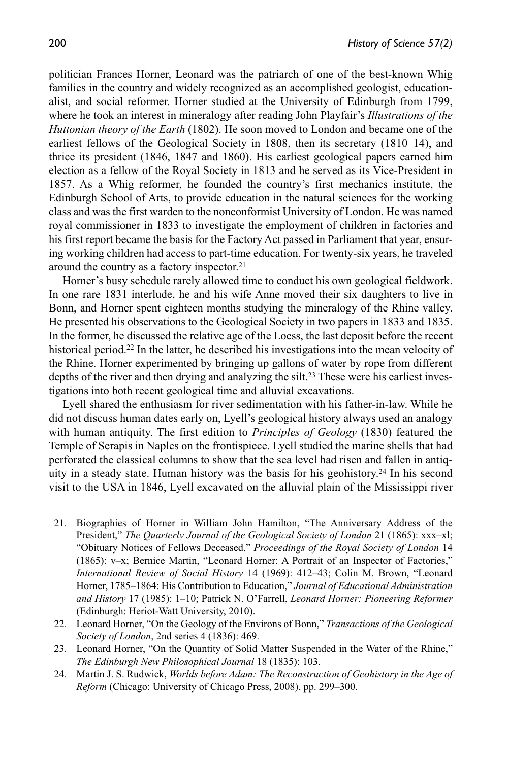politician Frances Horner, Leonard was the patriarch of one of the best-known Whig families in the country and widely recognized as an accomplished geologist, educationalist, and social reformer. Horner studied at the University of Edinburgh from 1799, where he took an interest in mineralogy after reading John Playfair's *Illustrations of the Huttonian theory of the Earth* (1802). He soon moved to London and became one of the earliest fellows of the Geological Society in 1808, then its secretary (1810–14), and thrice its president (1846, 1847 and 1860). His earliest geological papers earned him election as a fellow of the Royal Society in 1813 and he served as its Vice-President in 1857. As a Whig reformer, he founded the country's first mechanics institute, the Edinburgh School of Arts, to provide education in the natural sciences for the working class and was the first warden to the nonconformist University of London. He was named royal commissioner in 1833 to investigate the employment of children in factories and his first report became the basis for the Factory Act passed in Parliament that year, ensuring working children had access to part-time education. For twenty-six years, he traveled around the country as a factory inspector.<sup>21</sup>

Horner's busy schedule rarely allowed time to conduct his own geological fieldwork. In one rare 1831 interlude, he and his wife Anne moved their six daughters to live in Bonn, and Horner spent eighteen months studying the mineralogy of the Rhine valley. He presented his observations to the Geological Society in two papers in 1833 and 1835. In the former, he discussed the relative age of the Loess, the last deposit before the recent historical period.<sup>22</sup> In the latter, he described his investigations into the mean velocity of the Rhine. Horner experimented by bringing up gallons of water by rope from different depths of the river and then drying and analyzing the silt.<sup>23</sup> These were his earliest investigations into both recent geological time and alluvial excavations.

Lyell shared the enthusiasm for river sedimentation with his father-in-law. While he did not discuss human dates early on, Lyell's geological history always used an analogy with human antiquity. The first edition to *Principles of Geology* (1830) featured the Temple of Serapis in Naples on the frontispiece. Lyell studied the marine shells that had perforated the classical columns to show that the sea level had risen and fallen in antiquity in a steady state. Human history was the basis for his geohistory.<sup>24</sup> In his second visit to the USA in 1846, Lyell excavated on the alluvial plain of the Mississippi river

 <sup>21.</sup> Biographies of Horner in William John Hamilton, "The Anniversary Address of the President," *The Quarterly Journal of the Geological Society of London* 21 (1865): xxx–xl; "Obituary Notices of Fellows Deceased," *Proceedings of the Royal Society of London* 14 (1865): v–x; Bernice Martin, "Leonard Horner: A Portrait of an Inspector of Factories," *International Review of Social History* 14 (1969): 412–43; Colin M. Brown, "Leonard Horner, 1785–1864: His Contribution to Education," *Journal of Educational Administration and History* 17 (1985): 1–10; Patrick N. O'Farrell, *Leonard Horner: Pioneering Reformer* (Edinburgh: Heriot-Watt University, 2010).

 <sup>22.</sup> Leonard Horner, "On the Geology of the Environs of Bonn," *Transactions of the Geological Society of London*, 2nd series 4 (1836): 469.

 <sup>23.</sup> Leonard Horner, "On the Quantity of Solid Matter Suspended in the Water of the Rhine," *The Edinburgh New Philosophical Journal* 18 (1835): 103.

 <sup>24.</sup> Martin J. S. Rudwick, *Worlds before Adam: The Reconstruction of Geohistory in the Age of Reform* (Chicago: University of Chicago Press, 2008), pp. 299–300.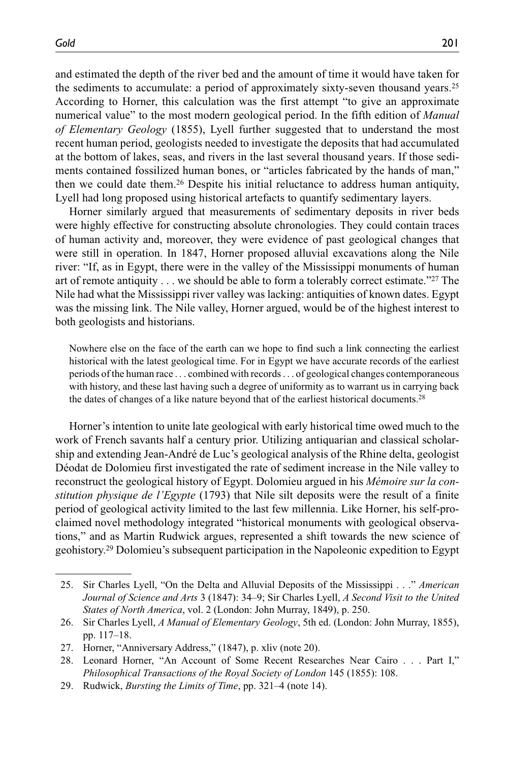and estimated the depth of the river bed and the amount of time it would have taken for the sediments to accumulate: a period of approximately sixty-seven thousand years.<sup>25</sup> According to Horner, this calculation was the first attempt "to give an approximate numerical value" to the most modern geological period. In the fifth edition of *Manual of Elementary Geology* (1855), Lyell further suggested that to understand the most recent human period, geologists needed to investigate the deposits that had accumulated at the bottom of lakes, seas, and rivers in the last several thousand years. If those sediments contained fossilized human bones, or "articles fabricated by the hands of man," then we could date them.<sup>26</sup> Despite his initial reluctance to address human antiquity, Lyell had long proposed using historical artefacts to quantify sedimentary layers.

Horner similarly argued that measurements of sedimentary deposits in river beds were highly effective for constructing absolute chronologies. They could contain traces of human activity and, moreover, they were evidence of past geological changes that were still in operation. In 1847, Horner proposed alluvial excavations along the Nile river: "If, as in Egypt, there were in the valley of the Mississippi monuments of human art of remote antiquity . . . we should be able to form a tolerably correct estimate."<sup>27</sup> The Nile had what the Mississippi river valley was lacking: antiquities of known dates. Egypt was the missing link. The Nile valley, Horner argued, would be of the highest interest to both geologists and historians.

Nowhere else on the face of the earth can we hope to find such a link connecting the earliest historical with the latest geological time. For in Egypt we have accurate records of the earliest periods of the human race . . . combined with records . . . of geological changes contemporaneous with history, and these last having such a degree of uniformity as to warrant us in carrying back the dates of changes of a like nature beyond that of the earliest historical documents.<sup>28</sup>

Horner's intention to unite late geological with early historical time owed much to the work of French savants half a century prior. Utilizing antiquarian and classical scholarship and extending Jean-André de Luc's geological analysis of the Rhine delta, geologist Déodat de Dolomieu first investigated the rate of sediment increase in the Nile valley to reconstruct the geological history of Egypt. Dolomieu argued in his *Mémoire sur la constitution physique de l'Egypte* (1793) that Nile silt deposits were the result of a finite period of geological activity limited to the last few millennia. Like Horner, his self-proclaimed novel methodology integrated "historical monuments with geological observations," and as Martin Rudwick argues, represented a shift towards the new science of geohistory.29 Dolomieu's subsequent participation in the Napoleonic expedition to Egypt

 <sup>25.</sup> Sir Charles Lyell, "On the Delta and Alluvial Deposits of the Mississippi . . ." *American Journal of Science and Arts* 3 (1847): 34–9; Sir Charles Lyell, *A Second Visit to the United States of North America*, vol. 2 (London: John Murray, 1849), p. 250.

 <sup>26.</sup> Sir Charles Lyell, *A Manual of Elementary Geology*, 5th ed. (London: John Murray, 1855), pp. 117–18.

 <sup>27.</sup> Horner, "Anniversary Address," (1847), p. xliv (note 20).

 <sup>28.</sup> Leonard Horner, "An Account of Some Recent Researches Near Cairo . . . Part I," *Philosophical Transactions of the Royal Society of London* 145 (1855): 108.

 <sup>29.</sup> Rudwick, *Bursting the Limits of Time*, pp. 321–4 (note 14).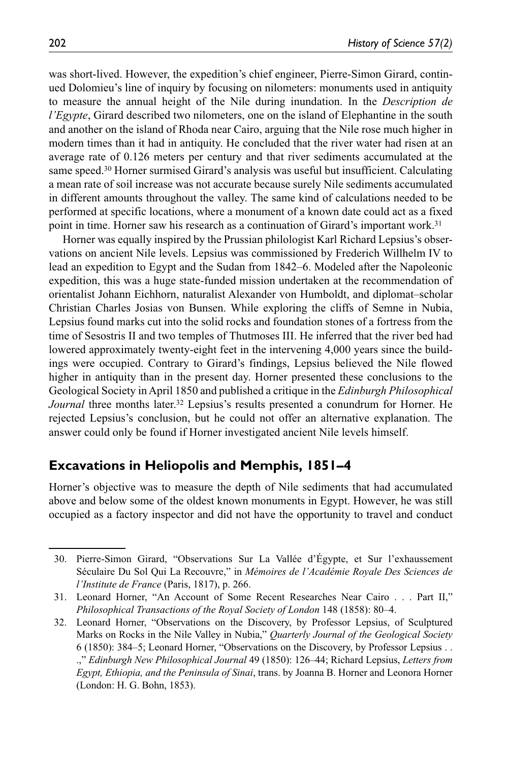was short-lived. However, the expedition's chief engineer, Pierre-Simon Girard, continued Dolomieu's line of inquiry by focusing on nilometers: monuments used in antiquity to measure the annual height of the Nile during inundation. In the *Description de l'Egypte*, Girard described two nilometers, one on the island of Elephantine in the south and another on the island of Rhoda near Cairo, arguing that the Nile rose much higher in modern times than it had in antiquity. He concluded that the river water had risen at an average rate of 0.126 meters per century and that river sediments accumulated at the same speed.<sup>30</sup> Horner surmised Girard's analysis was useful but insufficient. Calculating a mean rate of soil increase was not accurate because surely Nile sediments accumulated in different amounts throughout the valley. The same kind of calculations needed to be performed at specific locations, where a monument of a known date could act as a fixed point in time. Horner saw his research as a continuation of Girard's important work.<sup>31</sup>

Horner was equally inspired by the Prussian philologist Karl Richard Lepsius's observations on ancient Nile levels. Lepsius was commissioned by Frederich Willhelm IV to lead an expedition to Egypt and the Sudan from 1842–6. Modeled after the Napoleonic expedition, this was a huge state-funded mission undertaken at the recommendation of orientalist Johann Eichhorn, naturalist Alexander von Humboldt, and diplomat–scholar Christian Charles Josias von Bunsen. While exploring the cliffs of Semne in Nubia, Lepsius found marks cut into the solid rocks and foundation stones of a fortress from the time of Sesostris II and two temples of Thutmoses III. He inferred that the river bed had lowered approximately twenty-eight feet in the intervening 4,000 years since the buildings were occupied. Contrary to Girard's findings, Lepsius believed the Nile flowed higher in antiquity than in the present day. Horner presented these conclusions to the Geological Society in April 1850 and published a critique in the *Edinburgh Philosophical Journal* three months later.<sup>32</sup> Lepsius's results presented a conundrum for Horner. He rejected Lepsius's conclusion, but he could not offer an alternative explanation. The answer could only be found if Horner investigated ancient Nile levels himself.

#### **Excavations in Heliopolis and Memphis, 1851–4**

Horner's objective was to measure the depth of Nile sediments that had accumulated above and below some of the oldest known monuments in Egypt. However, he was still occupied as a factory inspector and did not have the opportunity to travel and conduct

 <sup>30.</sup> Pierre-Simon Girard, "Observations Sur La Vallée d'Égypte, et Sur l'exhaussement Séculaire Du Sol Qui La Recouvre," in *Mémoires de l'Académie Royale Des Sciences de l'Institute de France* (Paris, 1817), p. 266.

 <sup>31.</sup> Leonard Horner, "An Account of Some Recent Researches Near Cairo . . . Part II," *Philosophical Transactions of the Royal Society of London* 148 (1858): 80–4.

 <sup>32.</sup> Leonard Horner, "Observations on the Discovery, by Professor Lepsius, of Sculptured Marks on Rocks in the Nile Valley in Nubia," *Quarterly Journal of the Geological Society* 6 (1850): 384–5; Leonard Horner, "Observations on the Discovery, by Professor Lepsius . . .," *Edinburgh New Philosophical Journal* 49 (1850): 126–44; Richard Lepsius, *Letters from Egypt, Ethiopia, and the Peninsula of Sinai*, trans. by Joanna B. Horner and Leonora Horner (London: H. G. Bohn, 1853).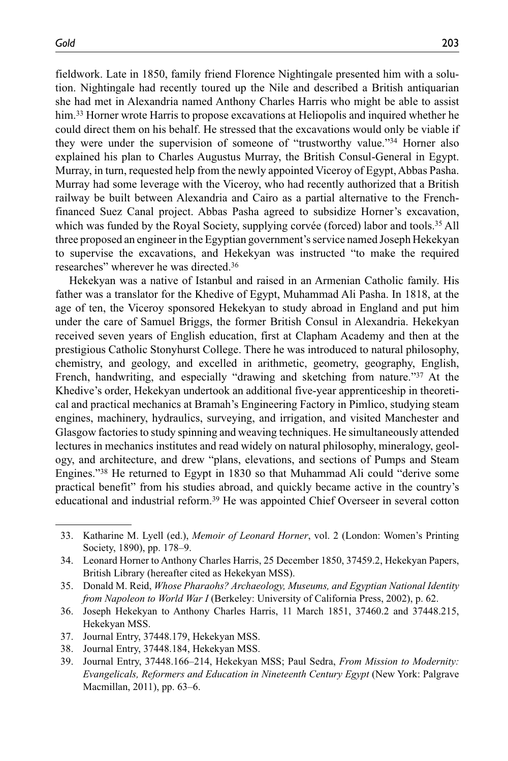fieldwork. Late in 1850, family friend Florence Nightingale presented him with a solution. Nightingale had recently toured up the Nile and described a British antiquarian she had met in Alexandria named Anthony Charles Harris who might be able to assist him.<sup>33</sup> Horner wrote Harris to propose excavations at Heliopolis and inquired whether he could direct them on his behalf. He stressed that the excavations would only be viable if they were under the supervision of someone of "trustworthy value."<sup>34</sup> Horner also explained his plan to Charles Augustus Murray, the British Consul-General in Egypt. Murray, in turn, requested help from the newly appointed Viceroy of Egypt, Abbas Pasha. Murray had some leverage with the Viceroy, who had recently authorized that a British railway be built between Alexandria and Cairo as a partial alternative to the Frenchfinanced Suez Canal project. Abbas Pasha agreed to subsidize Horner's excavation, which was funded by the Royal Society, supplying corvée (forced) labor and tools.<sup>35</sup> All three proposed an engineer in the Egyptian government's service named Joseph Hekekyan to supervise the excavations, and Hekekyan was instructed "to make the required researches" wherever he was directed.<sup>36</sup>

Hekekyan was a native of Istanbul and raised in an Armenian Catholic family. His father was a translator for the Khedive of Egypt, Muhammad Ali Pasha. In 1818, at the age of ten, the Viceroy sponsored Hekekyan to study abroad in England and put him under the care of Samuel Briggs, the former British Consul in Alexandria. Hekekyan received seven years of English education, first at Clapham Academy and then at the prestigious Catholic Stonyhurst College. There he was introduced to natural philosophy, chemistry, and geology, and excelled in arithmetic, geometry, geography, English, French, handwriting, and especially "drawing and sketching from nature."<sup>37</sup> At the Khedive's order, Hekekyan undertook an additional five-year apprenticeship in theoretical and practical mechanics at Bramah's Engineering Factory in Pimlico, studying steam engines, machinery, hydraulics, surveying, and irrigation, and visited Manchester and Glasgow factories to study spinning and weaving techniques. He simultaneously attended lectures in mechanics institutes and read widely on natural philosophy, mineralogy, geology, and architecture, and drew "plans, elevations, and sections of Pumps and Steam Engines."<sup>38</sup> He returned to Egypt in 1830 so that Muhammad Ali could "derive some practical benefit" from his studies abroad, and quickly became active in the country's educational and industrial reform.39 He was appointed Chief Overseer in several cotton

38. Journal Entry, 37448.184, Hekekyan MSS.

 <sup>33.</sup> Katharine M. Lyell (ed.), *Memoir of Leonard Horner*, vol. 2 (London: Women's Printing Society, 1890), pp. 178–9.

 <sup>34.</sup> Leonard Horner to Anthony Charles Harris, 25 December 1850, 37459.2, Hekekyan Papers, British Library (hereafter cited as Hekekyan MSS).

 <sup>35.</sup> Donald M. Reid, *Whose Pharaohs? Archaeology, Museums, and Egyptian National Identity from Napoleon to World War I* (Berkeley: University of California Press, 2002), p. 62.

 <sup>36.</sup> Joseph Hekekyan to Anthony Charles Harris, 11 March 1851, 37460.2 and 37448.215, Hekekyan MSS.

 <sup>37.</sup> Journal Entry, 37448.179, Hekekyan MSS.

 <sup>39.</sup> Journal Entry, 37448.166–214, Hekekyan MSS; Paul Sedra, *From Mission to Modernity: Evangelicals, Reformers and Education in Nineteenth Century Egypt* (New York: Palgrave Macmillan, 2011), pp. 63–6.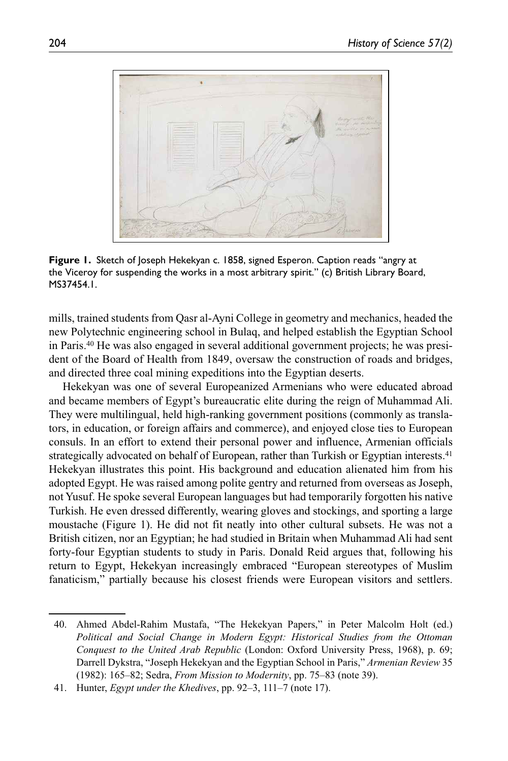

**Figure 1.** Sketch of Joseph Hekekyan c. 1858, signed Esperon. Caption reads "angry at the Viceroy for suspending the works in a most arbitrary spirit." (c) British Library Board, MS37454.1.

mills, trained students from Qasr al-Ayni College in geometry and mechanics, headed the new Polytechnic engineering school in Bulaq, and helped establish the Egyptian School in Paris.40 He was also engaged in several additional government projects; he was president of the Board of Health from 1849, oversaw the construction of roads and bridges, and directed three coal mining expeditions into the Egyptian deserts.

Hekekyan was one of several Europeanized Armenians who were educated abroad and became members of Egypt's bureaucratic elite during the reign of Muhammad Ali. They were multilingual, held high-ranking government positions (commonly as translators, in education, or foreign affairs and commerce), and enjoyed close ties to European consuls. In an effort to extend their personal power and influence, Armenian officials strategically advocated on behalf of European, rather than Turkish or Egyptian interests.<sup>41</sup> Hekekyan illustrates this point. His background and education alienated him from his adopted Egypt. He was raised among polite gentry and returned from overseas as Joseph, not Yusuf. He spoke several European languages but had temporarily forgotten his native Turkish. He even dressed differently, wearing gloves and stockings, and sporting a large moustache (Figure 1). He did not fit neatly into other cultural subsets. He was not a British citizen, nor an Egyptian; he had studied in Britain when Muhammad Ali had sent forty-four Egyptian students to study in Paris. Donald Reid argues that, following his return to Egypt, Hekekyan increasingly embraced "European stereotypes of Muslim fanaticism," partially because his closest friends were European visitors and settlers.

 <sup>40.</sup> Ahmed Abdel-Rahim Mustafa, "The Hekekyan Papers," in Peter Malcolm Holt (ed.) *Political and Social Change in Modern Egypt: Historical Studies from the Ottoman Conquest to the United Arab Republic* (London: Oxford University Press, 1968), p. 69; Darrell Dykstra, "Joseph Hekekyan and the Egyptian School in Paris," *Armenian Review* 35 (1982): 165–82; Sedra, *From Mission to Modernity*, pp. 75–83 (note 39).

 <sup>41.</sup> Hunter, *Egypt under the Khedives*, pp. 92–3, 111–7 (note 17).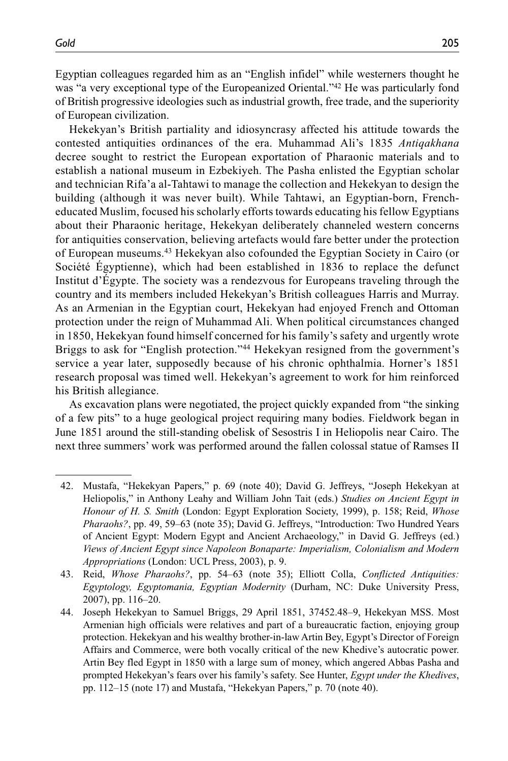Egyptian colleagues regarded him as an "English infidel" while westerners thought he was "a very exceptional type of the Europeanized Oriental."<sup>42</sup> He was particularly fond of British progressive ideologies such as industrial growth, free trade, and the superiority of European civilization.

Hekekyan's British partiality and idiosyncrasy affected his attitude towards the contested antiquities ordinances of the era. Muhammad Ali's 1835 *Antiqakhana* decree sought to restrict the European exportation of Pharaonic materials and to establish a national museum in Ezbekiyeh. The Pasha enlisted the Egyptian scholar and technician Rifa'a al-Tahtawi to manage the collection and Hekekyan to design the building (although it was never built). While Tahtawi, an Egyptian-born, Frencheducated Muslim, focused his scholarly efforts towards educating his fellow Egyptians about their Pharaonic heritage, Hekekyan deliberately channeled western concerns for antiquities conservation, believing artefacts would fare better under the protection of European museums.<sup>43</sup> Hekekyan also cofounded the Egyptian Society in Cairo (or Société Égyptienne), which had been established in 1836 to replace the defunct Institut d'Égypte. The society was a rendezvous for Europeans traveling through the country and its members included Hekekyan's British colleagues Harris and Murray. As an Armenian in the Egyptian court, Hekekyan had enjoyed French and Ottoman protection under the reign of Muhammad Ali. When political circumstances changed in 1850, Hekekyan found himself concerned for his family's safety and urgently wrote Briggs to ask for "English protection."<sup>44</sup> Hekekyan resigned from the government's service a year later, supposedly because of his chronic ophthalmia. Horner's 1851 research proposal was timed well. Hekekyan's agreement to work for him reinforced his British allegiance.

As excavation plans were negotiated, the project quickly expanded from "the sinking of a few pits" to a huge geological project requiring many bodies. Fieldwork began in June 1851 around the still-standing obelisk of Sesostris I in Heliopolis near Cairo. The next three summers' work was performed around the fallen colossal statue of Ramses II

 <sup>42.</sup> Mustafa, "Hekekyan Papers," p. 69 (note 40); David G. Jeffreys, "Joseph Hekekyan at Heliopolis," in Anthony Leahy and William John Tait (eds.) *Studies on Ancient Egypt in Honour of H. S. Smith* (London: Egypt Exploration Society, 1999), p. 158; Reid, *Whose Pharaohs?*, pp. 49, 59–63 (note 35); David G. Jeffreys, "Introduction: Two Hundred Years of Ancient Egypt: Modern Egypt and Ancient Archaeology," in David G. Jeffreys (ed.) *Views of Ancient Egypt since Napoleon Bonaparte: Imperialism, Colonialism and Modern Appropriations* (London: UCL Press, 2003), p. 9.

 <sup>43.</sup> Reid, *Whose Pharaohs?*, pp. 54–63 (note 35); Elliott Colla, *Conflicted Antiquities: Egyptology, Egyptomania, Egyptian Modernity* (Durham, NC: Duke University Press, 2007), pp. 116–20.

 <sup>44.</sup> Joseph Hekekyan to Samuel Briggs, 29 April 1851, 37452.48–9, Hekekyan MSS. Most Armenian high officials were relatives and part of a bureaucratic faction, enjoying group protection. Hekekyan and his wealthy brother-in-law Artin Bey, Egypt's Director of Foreign Affairs and Commerce, were both vocally critical of the new Khedive's autocratic power. Artin Bey fled Egypt in 1850 with a large sum of money, which angered Abbas Pasha and prompted Hekekyan's fears over his family's safety. See Hunter, *Egypt under the Khedives*, pp. 112–15 (note 17) and Mustafa, "Hekekyan Papers," p. 70 (note 40).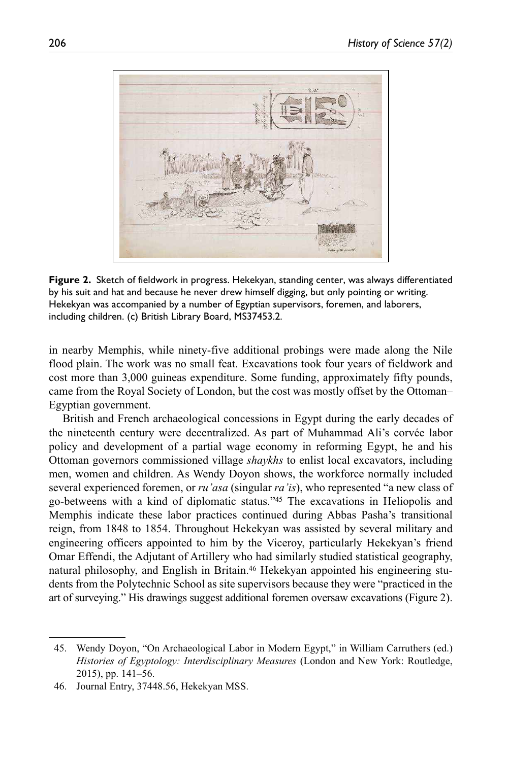

**Figure 2.** Sketch of fieldwork in progress. Hekekyan, standing center, was always differentiated by his suit and hat and because he never drew himself digging, but only pointing or writing. Hekekyan was accompanied by a number of Egyptian supervisors, foremen, and laborers, including children. (c) British Library Board, MS37453.2.

in nearby Memphis, while ninety-five additional probings were made along the Nile flood plain. The work was no small feat. Excavations took four years of fieldwork and cost more than 3,000 guineas expenditure. Some funding, approximately fifty pounds, came from the Royal Society of London, but the cost was mostly offset by the Ottoman– Egyptian government.

British and French archaeological concessions in Egypt during the early decades of the nineteenth century were decentralized. As part of Muhammad Ali's corvée labor policy and development of a partial wage economy in reforming Egypt, he and his Ottoman governors commissioned village *shaykhs* to enlist local excavators, including men, women and children. As Wendy Doyon shows, the workforce normally included several experienced foremen, or *ru'asa* (singular *ra'is*), who represented "a new class of go-betweens with a kind of diplomatic status."<sup>45</sup> The excavations in Heliopolis and Memphis indicate these labor practices continued during Abbas Pasha's transitional reign, from 1848 to 1854. Throughout Hekekyan was assisted by several military and engineering officers appointed to him by the Viceroy, particularly Hekekyan's friend Omar Effendi, the Adjutant of Artillery who had similarly studied statistical geography, natural philosophy, and English in Britain.46 Hekekyan appointed his engineering students from the Polytechnic School as site supervisors because they were "practiced in the art of surveying." His drawings suggest additional foremen oversaw excavations (Figure 2).

 <sup>45.</sup> Wendy Doyon, "On Archaeological Labor in Modern Egypt," in William Carruthers (ed.) *Histories of Egyptology: Interdisciplinary Measures* (London and New York: Routledge, 2015), pp. 141–56.

 <sup>46.</sup> Journal Entry, 37448.56, Hekekyan MSS.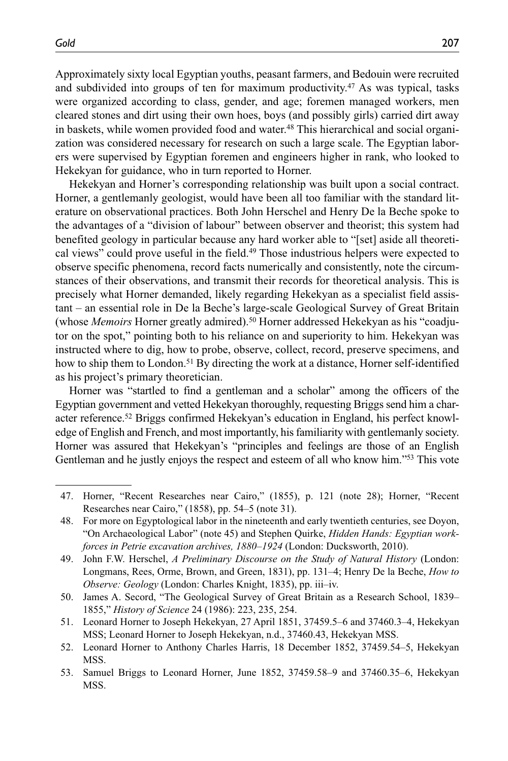Approximately sixty local Egyptian youths, peasant farmers, and Bedouin were recruited and subdivided into groups of ten for maximum productivity.<sup>47</sup> As was typical, tasks were organized according to class, gender, and age; foremen managed workers, men cleared stones and dirt using their own hoes, boys (and possibly girls) carried dirt away in baskets, while women provided food and water.48 This hierarchical and social organization was considered necessary for research on such a large scale. The Egyptian laborers were supervised by Egyptian foremen and engineers higher in rank, who looked to Hekekyan for guidance, who in turn reported to Horner.

Hekekyan and Horner's corresponding relationship was built upon a social contract. Horner, a gentlemanly geologist, would have been all too familiar with the standard literature on observational practices. Both John Herschel and Henry De la Beche spoke to the advantages of a "division of labour" between observer and theorist; this system had benefited geology in particular because any hard worker able to "[set] aside all theoretical views" could prove useful in the field.<sup>49</sup> Those industrious helpers were expected to observe specific phenomena, record facts numerically and consistently, note the circumstances of their observations, and transmit their records for theoretical analysis. This is precisely what Horner demanded, likely regarding Hekekyan as a specialist field assistant – an essential role in De la Beche's large-scale Geological Survey of Great Britain (whose *Memoirs* Horner greatly admired).50 Horner addressed Hekekyan as his "coadjutor on the spot," pointing both to his reliance on and superiority to him. Hekekyan was instructed where to dig, how to probe, observe, collect, record, preserve specimens, and how to ship them to London.<sup>51</sup> By directing the work at a distance, Horner self-identified as his project's primary theoretician.

Horner was "startled to find a gentleman and a scholar" among the officers of the Egyptian government and vetted Hekekyan thoroughly, requesting Briggs send him a character reference.52 Briggs confirmed Hekekyan's education in England, his perfect knowledge of English and French, and most importantly, his familiarity with gentlemanly society. Horner was assured that Hekekyan's "principles and feelings are those of an English Gentleman and he justly enjoys the respect and esteem of all who know him."53 This vote

 <sup>47.</sup> Horner, "Recent Researches near Cairo," (1855), p. 121 (note 28); Horner, "Recent Researches near Cairo," (1858), pp. 54–5 (note 31).

 <sup>48.</sup> For more on Egyptological labor in the nineteenth and early twentieth centuries, see Doyon, "On Archaeological Labor" (note 45) and Stephen Quirke, *Hidden Hands: Egyptian workforces in Petrie excavation archives, 1880–1924* (London: Ducksworth, 2010).

 <sup>49.</sup> John F.W. Herschel, *A Preliminary Discourse on the Study of Natural History* (London: Longmans, Rees, Orme, Brown, and Green, 1831), pp. 131–4; Henry De la Beche, *How to Observe: Geology* (London: Charles Knight, 1835), pp. iii–iv.

 <sup>50.</sup> James A. Secord, "The Geological Survey of Great Britain as a Research School, 1839– 1855," *History of Science* 24 (1986): 223, 235, 254.

 <sup>51.</sup> Leonard Horner to Joseph Hekekyan, 27 April 1851, 37459.5–6 and 37460.3–4, Hekekyan MSS; Leonard Horner to Joseph Hekekyan, n.d., 37460.43, Hekekyan MSS.

 <sup>52.</sup> Leonard Horner to Anthony Charles Harris, 18 December 1852, 37459.54–5, Hekekyan MSS.

 <sup>53.</sup> Samuel Briggs to Leonard Horner, June 1852, 37459.58–9 and 37460.35–6, Hekekyan MSS.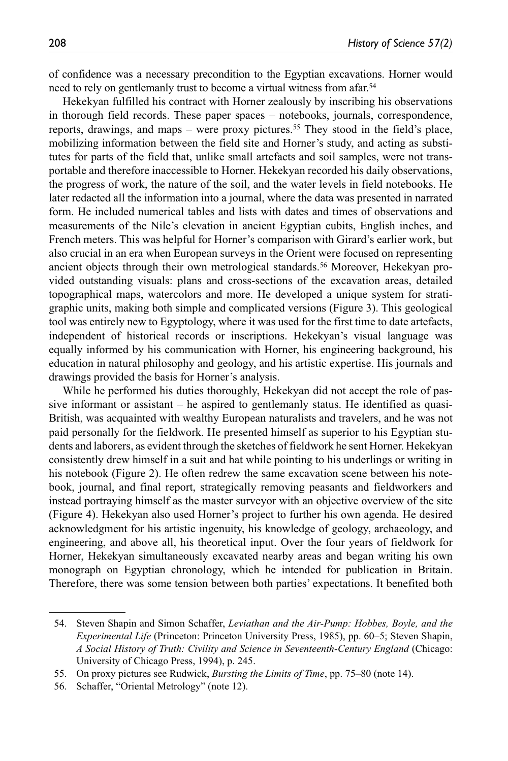of confidence was a necessary precondition to the Egyptian excavations. Horner would need to rely on gentlemanly trust to become a virtual witness from afar.<sup>54</sup>

Hekekyan fulfilled his contract with Horner zealously by inscribing his observations in thorough field records. These paper spaces – notebooks, journals, correspondence, reports, drawings, and maps – were proxy pictures.<sup>55</sup> They stood in the field's place, mobilizing information between the field site and Horner's study, and acting as substitutes for parts of the field that, unlike small artefacts and soil samples, were not transportable and therefore inaccessible to Horner. Hekekyan recorded his daily observations, the progress of work, the nature of the soil, and the water levels in field notebooks. He later redacted all the information into a journal, where the data was presented in narrated form. He included numerical tables and lists with dates and times of observations and measurements of the Nile's elevation in ancient Egyptian cubits, English inches, and French meters. This was helpful for Horner's comparison with Girard's earlier work, but also crucial in an era when European surveys in the Orient were focused on representing ancient objects through their own metrological standards.56 Moreover, Hekekyan provided outstanding visuals: plans and cross-sections of the excavation areas, detailed topographical maps, watercolors and more. He developed a unique system for stratigraphic units, making both simple and complicated versions (Figure 3). This geological tool was entirely new to Egyptology, where it was used for the first time to date artefacts, independent of historical records or inscriptions. Hekekyan's visual language was equally informed by his communication with Horner, his engineering background, his education in natural philosophy and geology, and his artistic expertise. His journals and drawings provided the basis for Horner's analysis.

While he performed his duties thoroughly, Hekekyan did not accept the role of passive informant or assistant – he aspired to gentlemanly status. He identified as quasi-British, was acquainted with wealthy European naturalists and travelers, and he was not paid personally for the fieldwork. He presented himself as superior to his Egyptian students and laborers, as evident through the sketches of fieldwork he sent Horner. Hekekyan consistently drew himself in a suit and hat while pointing to his underlings or writing in his notebook (Figure 2). He often redrew the same excavation scene between his notebook, journal, and final report, strategically removing peasants and fieldworkers and instead portraying himself as the master surveyor with an objective overview of the site (Figure 4). Hekekyan also used Horner's project to further his own agenda. He desired acknowledgment for his artistic ingenuity, his knowledge of geology, archaeology, and engineering, and above all, his theoretical input. Over the four years of fieldwork for Horner, Hekekyan simultaneously excavated nearby areas and began writing his own monograph on Egyptian chronology, which he intended for publication in Britain. Therefore, there was some tension between both parties' expectations. It benefited both

 <sup>54.</sup> Steven Shapin and Simon Schaffer, *Leviathan and the Air-Pump: Hobbes, Boyle, and the Experimental Life* (Princeton: Princeton University Press, 1985), pp. 60–5; Steven Shapin, *A Social History of Truth: Civility and Science in Seventeenth-Century England* (Chicago: University of Chicago Press, 1994), p. 245.

 <sup>55.</sup> On proxy pictures see Rudwick, *Bursting the Limits of Time*, pp. 75–80 (note 14).

 <sup>56.</sup> Schaffer, "Oriental Metrology" (note 12).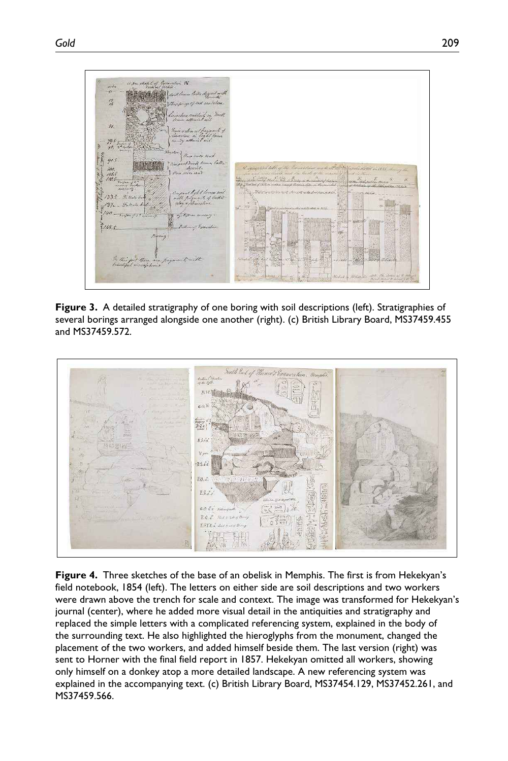| If superfield lable of the Executations made of the Telegrates district in 1831, channing the                                                                                                                                        |
|--------------------------------------------------------------------------------------------------------------------------------------------------------------------------------------------------------------------------------------|
| state wear, some timeled, wear, the state by the main only forth at the state.<br>I take that of states with state in Easter in the subdivision that is a signal and in the state.<br>States and states in continua ranged states in |
| of the hideston of the School and ten Blatick                                                                                                                                                                                        |
| Paint production and placed a linker have given.<br><b>BARTING MARKET</b>                                                                                                                                                            |
|                                                                                                                                                                                                                                      |
| 1011 Apple Commission for the construction on 1862                                                                                                                                                                                   |
|                                                                                                                                                                                                                                      |
|                                                                                                                                                                                                                                      |
|                                                                                                                                                                                                                                      |
|                                                                                                                                                                                                                                      |
|                                                                                                                                                                                                                                      |
|                                                                                                                                                                                                                                      |
|                                                                                                                                                                                                                                      |
|                                                                                                                                                                                                                                      |
|                                                                                                                                                                                                                                      |
| School - Helenedie States The Indian in G. School                                                                                                                                                                                    |
| dark brinar lathe depoid with<br>Rinh staling sat frongoismle of<br>Lincoalma, in Legild Herma<br>samley octonical siel,                                                                                                             |

**Figure 3.** A detailed stratigraphy of one boring with soil descriptions (left). Stratigraphies of several borings arranged alongside one another (right). (c) British Library Board, MS37459.455 and MS37459.572.

b.e.  $E \lesssim \epsilon$ v.  $J.5.4$ Po. 5  $E.S.$  $9.0.4c$  $E.Q.$ Foru.

**Figure 4.** Three sketches of the base of an obelisk in Memphis. The first is from Hekekyan's field notebook, 1854 (left). The letters on either side are soil descriptions and two workers were drawn above the trench for scale and context. The image was transformed for Hekekyan's journal (center), where he added more visual detail in the antiquities and stratigraphy and replaced the simple letters with a complicated referencing system, explained in the body of the surrounding text. He also highlighted the hieroglyphs from the monument, changed the placement of the two workers, and added himself beside them. The last version (right) was sent to Horner with the final field report in 1857. Hekekyan omitted all workers, showing only himself on a donkey atop a more detailed landscape. A new referencing system was explained in the accompanying text. (c) British Library Board, MS37454.129, MS37452.261, and MS37459.566.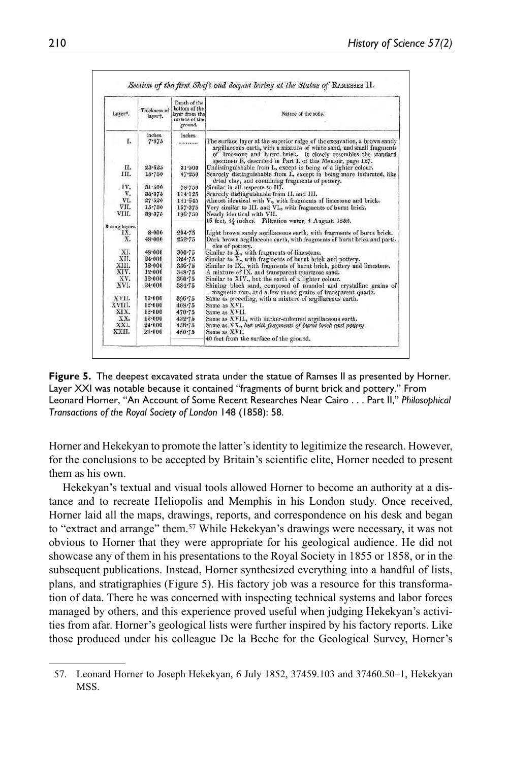| Laver*.        | Thickness of<br>layer+. | Depth of the<br>bottom of the<br>laver from the<br>surface of the<br>ground. | Nature of the soils.                                                                                                                                                                                                                                                               |
|----------------|-------------------------|------------------------------------------------------------------------------|------------------------------------------------------------------------------------------------------------------------------------------------------------------------------------------------------------------------------------------------------------------------------------|
| T.             | inches.<br>7.875        | inches.<br>                                                                  | The surface layer at the superior ridge of the excavation, a brown sandy<br>argillaceous earth, with a mixture of white sand, and small fragments<br>of limestone and burnt brick. It closely resembles the standard<br>specimen E, described in Part I. of this Memoir, page 127. |
| H.             | 23.625                  | 31:500                                                                       | Undistinguishable from I., except in being of a lighter colour.                                                                                                                                                                                                                    |
| Ш.             | 15.750                  | $47 - 250$                                                                   | Scarcely distinguishable from L, except in being more indurated, like<br>dried clay, and containing fragments of pottery.                                                                                                                                                          |
| IV.            | $31 - 500$              | 78.750                                                                       | Similar in all respects to III.                                                                                                                                                                                                                                                    |
| V.             | 35.375                  | 114.125                                                                      | Searcely distinguishable from II. and III.                                                                                                                                                                                                                                         |
| VI.            | 27.520                  | 141.645                                                                      | Almost identical with V., with fragments of limestone and brick.                                                                                                                                                                                                                   |
| VII.           | 15.730                  | 157.375                                                                      | Very similar to III. and VI., with fragments of burnt brick.                                                                                                                                                                                                                       |
| VIII.          | 39.375                  | 196-750                                                                      | Nearly identical with VII.                                                                                                                                                                                                                                                         |
|                |                         |                                                                              | 16 feet, 44 inches. Filtration water, 4 August, 1852.                                                                                                                                                                                                                              |
| Boring layers. |                         |                                                                              |                                                                                                                                                                                                                                                                                    |
| IÑ.<br>X.      | 8.000<br>48.000         | $204 - 75$                                                                   | Light brown sandy argillaceous earth, with fragments of burnt brick.                                                                                                                                                                                                               |
|                |                         | 252-75                                                                       | Dark brown argillaceous earth, with fragments of burnt brick and parti-<br>cles of pottery.                                                                                                                                                                                        |
| XI.            | 48.000                  | $300 - 75$                                                                   | Similar to X., with fragments of limestone.                                                                                                                                                                                                                                        |
| XII.           | 24.000                  | $324 - 75$                                                                   | Similar to X., with fragments of burnt brick and pottery.                                                                                                                                                                                                                          |
| XIII.          | 12.000                  | 336-75                                                                       | Similar to IX., with fragments of burnt brick, pottery and limestone.                                                                                                                                                                                                              |
| XIV.           | 12.000                  | $348 - 75$                                                                   | A mixture of IX. and transparent quartzose sand.                                                                                                                                                                                                                                   |
| XV.            | 12:000                  | 360.75                                                                       | Similar to XIV., but the earth of a lighter colour.                                                                                                                                                                                                                                |
| XVI.           | $24 - 000$              | 384.75                                                                       | Shining black sand, composed of rounded and crystalline grains of<br>magnetic iron, and a few round grains of transparent quartz.                                                                                                                                                  |
| XVII.          | $12 - 000$              | $396 - 75$                                                                   | Same as preceding, with a mixture of argillaceous earth.                                                                                                                                                                                                                           |
| XVIII.         | $12 - 000$              | 408.75                                                                       | Same as XVI.                                                                                                                                                                                                                                                                       |
| XIX.           | $12 - 000$              | $470 - 75$                                                                   | Same as XVII.                                                                                                                                                                                                                                                                      |
| XX.            | $12 - 000$              | $432 - 75$                                                                   | Same as XVII., with darker-coloured argillaceous earth.                                                                                                                                                                                                                            |
| XXI.           | $24 - 000$              | $456 - 75$                                                                   | Same as XX., but with fragments of burnt brick and pottery.                                                                                                                                                                                                                        |
| XXII.          | $24 - 000$              | 480.75                                                                       | Same as XVI.                                                                                                                                                                                                                                                                       |
|                |                         |                                                                              | 40 feet from the surface of the ground.                                                                                                                                                                                                                                            |



Horner and Hekekyan to promote the latter's identity to legitimize the research. However, for the conclusions to be accepted by Britain's scientific elite, Horner needed to present them as his own.

Hekekyan's textual and visual tools allowed Horner to become an authority at a distance and to recreate Heliopolis and Memphis in his London study. Once received, Horner laid all the maps, drawings, reports, and correspondence on his desk and began to "extract and arrange" them.<sup>57</sup> While Hekekyan's drawings were necessary, it was not obvious to Horner that they were appropriate for his geological audience. He did not showcase any of them in his presentations to the Royal Society in 1855 or 1858, or in the subsequent publications. Instead, Horner synthesized everything into a handful of lists, plans, and stratigraphies (Figure 5). His factory job was a resource for this transformation of data. There he was concerned with inspecting technical systems and labor forces managed by others, and this experience proved useful when judging Hekekyan's activities from afar. Horner's geological lists were further inspired by his factory reports. Like those produced under his colleague De la Beche for the Geological Survey, Horner's

 <sup>57.</sup> Leonard Horner to Joseph Hekekyan, 6 July 1852, 37459.103 and 37460.50–1, Hekekyan MSS.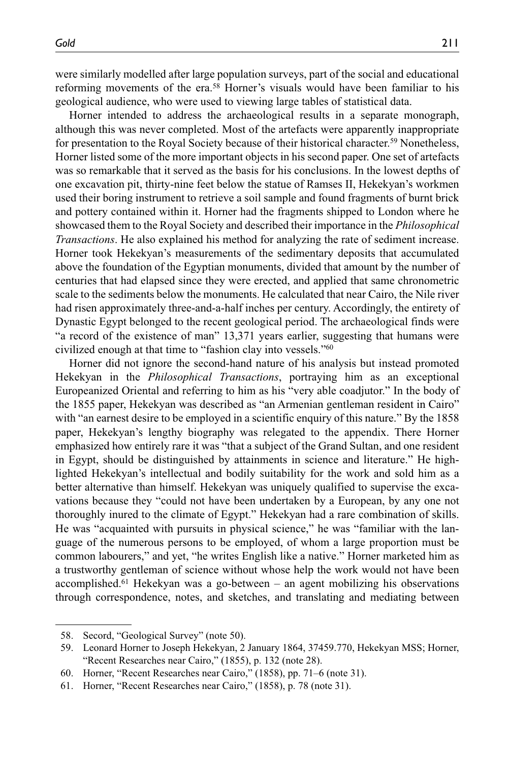were similarly modelled after large population surveys, part of the social and educational reforming movements of the era.<sup>58</sup> Horner's visuals would have been familiar to his geological audience, who were used to viewing large tables of statistical data.

Horner intended to address the archaeological results in a separate monograph, although this was never completed. Most of the artefacts were apparently inappropriate for presentation to the Royal Society because of their historical character.<sup>59</sup> Nonetheless, Horner listed some of the more important objects in his second paper. One set of artefacts was so remarkable that it served as the basis for his conclusions. In the lowest depths of one excavation pit, thirty-nine feet below the statue of Ramses II, Hekekyan's workmen used their boring instrument to retrieve a soil sample and found fragments of burnt brick and pottery contained within it. Horner had the fragments shipped to London where he showcased them to the Royal Society and described their importance in the *Philosophical Transactions*. He also explained his method for analyzing the rate of sediment increase. Horner took Hekekyan's measurements of the sedimentary deposits that accumulated above the foundation of the Egyptian monuments, divided that amount by the number of centuries that had elapsed since they were erected, and applied that same chronometric scale to the sediments below the monuments. He calculated that near Cairo, the Nile river had risen approximately three-and-a-half inches per century. Accordingly, the entirety of Dynastic Egypt belonged to the recent geological period. The archaeological finds were "a record of the existence of man" 13,371 years earlier, suggesting that humans were civilized enough at that time to "fashion clay into vessels."<sup>60</sup>

Horner did not ignore the second-hand nature of his analysis but instead promoted Hekekyan in the *Philosophical Transactions*, portraying him as an exceptional Europeanized Oriental and referring to him as his "very able coadjutor." In the body of the 1855 paper, Hekekyan was described as "an Armenian gentleman resident in Cairo" with "an earnest desire to be employed in a scientific enquiry of this nature." By the 1858 paper, Hekekyan's lengthy biography was relegated to the appendix. There Horner emphasized how entirely rare it was "that a subject of the Grand Sultan, and one resident in Egypt, should be distinguished by attainments in science and literature." He highlighted Hekekyan's intellectual and bodily suitability for the work and sold him as a better alternative than himself. Hekekyan was uniquely qualified to supervise the excavations because they "could not have been undertaken by a European, by any one not thoroughly inured to the climate of Egypt." Hekekyan had a rare combination of skills. He was "acquainted with pursuits in physical science," he was "familiar with the language of the numerous persons to be employed, of whom a large proportion must be common labourers," and yet, "he writes English like a native." Horner marketed him as a trustworthy gentleman of science without whose help the work would not have been accomplished.<sup>61</sup> Hekekyan was a go-between – an agent mobilizing his observations through correspondence, notes, and sketches, and translating and mediating between

 <sup>58.</sup> Secord, "Geological Survey" (note 50).

 <sup>59.</sup> Leonard Horner to Joseph Hekekyan, 2 January 1864, 37459.770, Hekekyan MSS; Horner, "Recent Researches near Cairo," (1855), p. 132 (note 28).

 <sup>60.</sup> Horner, "Recent Researches near Cairo," (1858), pp. 71–6 (note 31).

 <sup>61.</sup> Horner, "Recent Researches near Cairo," (1858), p. 78 (note 31).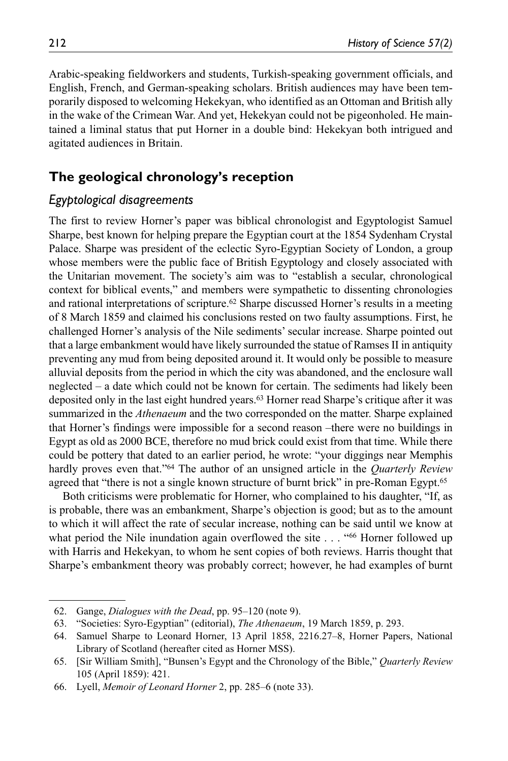Arabic-speaking fieldworkers and students, Turkish-speaking government officials, and English, French, and German-speaking scholars. British audiences may have been temporarily disposed to welcoming Hekekyan, who identified as an Ottoman and British ally in the wake of the Crimean War. And yet, Hekekyan could not be pigeonholed. He maintained a liminal status that put Horner in a double bind: Hekekyan both intrigued and agitated audiences in Britain.

## **The geological chronology's reception**

## *Egyptological disagreements*

The first to review Horner's paper was biblical chronologist and Egyptologist Samuel Sharpe, best known for helping prepare the Egyptian court at the 1854 Sydenham Crystal Palace. Sharpe was president of the eclectic Syro-Egyptian Society of London, a group whose members were the public face of British Egyptology and closely associated with the Unitarian movement. The society's aim was to "establish a secular, chronological context for biblical events," and members were sympathetic to dissenting chronologies and rational interpretations of scripture.<sup>62</sup> Sharpe discussed Horner's results in a meeting of 8 March 1859 and claimed his conclusions rested on two faulty assumptions. First, he challenged Horner's analysis of the Nile sediments' secular increase. Sharpe pointed out that a large embankment would have likely surrounded the statue of Ramses II in antiquity preventing any mud from being deposited around it. It would only be possible to measure alluvial deposits from the period in which the city was abandoned, and the enclosure wall neglected – a date which could not be known for certain. The sediments had likely been deposited only in the last eight hundred years.<sup>63</sup> Horner read Sharpe's critique after it was summarized in the *Athenaeum* and the two corresponded on the matter. Sharpe explained that Horner's findings were impossible for a second reason –there were no buildings in Egypt as old as 2000 BCE, therefore no mud brick could exist from that time. While there could be pottery that dated to an earlier period, he wrote: "your diggings near Memphis hardly proves even that."<sup>64</sup> The author of an unsigned article in the *Quarterly Review* agreed that "there is not a single known structure of burnt brick" in pre-Roman Egypt.<sup>65</sup>

Both criticisms were problematic for Horner, who complained to his daughter, "If, as is probable, there was an embankment, Sharpe's objection is good; but as to the amount to which it will affect the rate of secular increase, nothing can be said until we know at what period the Nile inundation again overflowed the site . . . "<sup>66</sup> Horner followed up with Harris and Hekekyan, to whom he sent copies of both reviews. Harris thought that Sharpe's embankment theory was probably correct; however, he had examples of burnt

 <sup>62.</sup> Gange, *Dialogues with the Dead*, pp. 95–120 (note 9).

 <sup>63. &</sup>quot;Societies: Syro-Egyptian" (editorial), *The Athenaeum*, 19 March 1859, p. 293.

 <sup>64.</sup> Samuel Sharpe to Leonard Horner, 13 April 1858, 2216.27–8, Horner Papers, National Library of Scotland (hereafter cited as Horner MSS).

 <sup>65. [</sup>Sir William Smith], "Bunsen's Egypt and the Chronology of the Bible," *Quarterly Review* 105 (April 1859): 421.

 <sup>66.</sup> Lyell, *Memoir of Leonard Horner* 2, pp. 285–6 (note 33).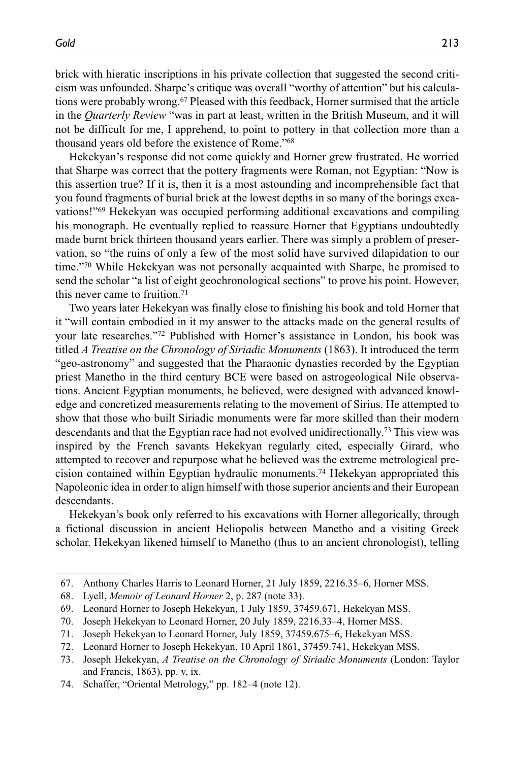brick with hieratic inscriptions in his private collection that suggested the second criticism was unfounded. Sharpe's critique was overall "worthy of attention" but his calculations were probably wrong.<sup>67</sup> Pleased with this feedback, Horner surmised that the article in the *Quarterly Review* "was in part at least, written in the British Museum, and it will not be difficult for me, I apprehend, to point to pottery in that collection more than a thousand years old before the existence of Rome."<sup>68</sup>

Hekekyan's response did not come quickly and Horner grew frustrated. He worried that Sharpe was correct that the pottery fragments were Roman, not Egyptian: "Now is this assertion true? If it is, then it is a most astounding and incomprehensible fact that you found fragments of burial brick at the lowest depths in so many of the borings excavations!"<sup>69</sup> Hekekyan was occupied performing additional excavations and compiling his monograph. He eventually replied to reassure Horner that Egyptians undoubtedly made burnt brick thirteen thousand years earlier. There was simply a problem of preservation, so "the ruins of only a few of the most solid have survived dilapidation to our time."<sup>70</sup> While Hekekyan was not personally acquainted with Sharpe, he promised to send the scholar "a list of eight geochronological sections" to prove his point. However, this never came to fruition.<sup>71</sup>

Two years later Hekekyan was finally close to finishing his book and told Horner that it "will contain embodied in it my answer to the attacks made on the general results of your late researches."<sup>72</sup> Published with Horner's assistance in London, his book was titled *A Treatise on the Chronology of Siriadic Monuments* (1863). It introduced the term "geo-astronomy" and suggested that the Pharaonic dynasties recorded by the Egyptian priest Manetho in the third century BCE were based on astrogeological Nile observations. Ancient Egyptian monuments, he believed, were designed with advanced knowledge and concretized measurements relating to the movement of Sirius. He attempted to show that those who built Siriadic monuments were far more skilled than their modern descendants and that the Egyptian race had not evolved unidirectionally.<sup>73</sup> This view was inspired by the French savants Hekekyan regularly cited, especially Girard, who attempted to recover and repurpose what he believed was the extreme metrological precision contained within Egyptian hydraulic monuments.<sup>74</sup> Hekekyan appropriated this Napoleonic idea in order to align himself with those superior ancients and their European descendants.

Hekekyan's book only referred to his excavations with Horner allegorically, through a fictional discussion in ancient Heliopolis between Manetho and a visiting Greek scholar. Hekekyan likened himself to Manetho (thus to an ancient chronologist), telling

 <sup>67.</sup> Anthony Charles Harris to Leonard Horner, 21 July 1859, 2216.35–6, Horner MSS.

 <sup>68.</sup> Lyell, *Memoir of Leonard Horner* 2, p. 287 (note 33).

 <sup>69.</sup> Leonard Horner to Joseph Hekekyan, 1 July 1859, 37459.671, Hekekyan MSS.

 <sup>70.</sup> Joseph Hekekyan to Leonard Horner, 20 July 1859, 2216.33–4, Horner MSS.

 <sup>71.</sup> Joseph Hekekyan to Leonard Horner, July 1859, 37459.675–6, Hekekyan MSS.

 <sup>72.</sup> Leonard Horner to Joseph Hekekyan, 10 April 1861, 37459.741, Hekekyan MSS.

 <sup>73.</sup> Joseph Hekekyan, *A Treatise on the Chronology of Siriadic Monuments* (London: Taylor and Francis, 1863), pp. v, ix.

 <sup>74.</sup> Schaffer, "Oriental Metrology," pp. 182–4 (note 12).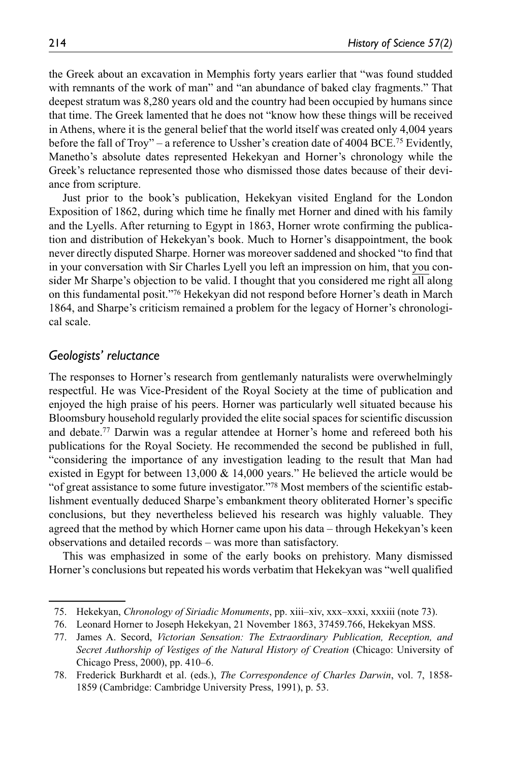the Greek about an excavation in Memphis forty years earlier that "was found studded with remnants of the work of man" and "an abundance of baked clay fragments." That deepest stratum was 8,280 years old and the country had been occupied by humans since that time. The Greek lamented that he does not "know how these things will be received in Athens, where it is the general belief that the world itself was created only 4,004 years before the fall of Troy" – a reference to Ussher's creation date of 4004 BCE.<sup>75</sup> Evidently, Manetho's absolute dates represented Hekekyan and Horner's chronology while the Greek's reluctance represented those who dismissed those dates because of their deviance from scripture.

Just prior to the book's publication, Hekekyan visited England for the London Exposition of 1862, during which time he finally met Horner and dined with his family and the Lyells. After returning to Egypt in 1863, Horner wrote confirming the publication and distribution of Hekekyan's book. Much to Horner's disappointment, the book never directly disputed Sharpe. Horner was moreover saddened and shocked "to find that in your conversation with Sir Charles Lyell you left an impression on him, that you consider Mr Sharpe's objection to be valid. I thought that you considered me right all along on this fundamental posit."<sup>76</sup> Hekekyan did not respond before Horner's death in March 1864, and Sharpe's criticism remained a problem for the legacy of Horner's chronological scale.

#### *Geologists' reluctance*

The responses to Horner's research from gentlemanly naturalists were overwhelmingly respectful. He was Vice-President of the Royal Society at the time of publication and enjoyed the high praise of his peers. Horner was particularly well situated because his Bloomsbury household regularly provided the elite social spaces for scientific discussion and debate.<sup>77</sup> Darwin was a regular attendee at Horner's home and refereed both his publications for the Royal Society. He recommended the second be published in full, "considering the importance of any investigation leading to the result that Man had existed in Egypt for between 13,000 & 14,000 years." He believed the article would be "of great assistance to some future investigator."78 Most members of the scientific establishment eventually deduced Sharpe's embankment theory obliterated Horner's specific conclusions, but they nevertheless believed his research was highly valuable. They agreed that the method by which Horner came upon his data – through Hekekyan's keen observations and detailed records – was more than satisfactory.

This was emphasized in some of the early books on prehistory. Many dismissed Horner's conclusions but repeated his words verbatim that Hekekyan was "well qualified

 <sup>75.</sup> Hekekyan, *Chronology of Siriadic Monuments*, pp. xiii–xiv, xxx–xxxi, xxxiii (note 73).

 <sup>76.</sup> Leonard Horner to Joseph Hekekyan, 21 November 1863, 37459.766, Hekekyan MSS.

 <sup>77.</sup> James A. Secord, *Victorian Sensation: The Extraordinary Publication, Reception, and Secret Authorship of Vestiges of the Natural History of Creation* (Chicago: University of Chicago Press, 2000), pp. 410–6.

 <sup>78.</sup> Frederick Burkhardt et al. (eds.), *The Correspondence of Charles Darwin*, vol. 7, 1858- 1859 (Cambridge: Cambridge University Press, 1991), p. 53.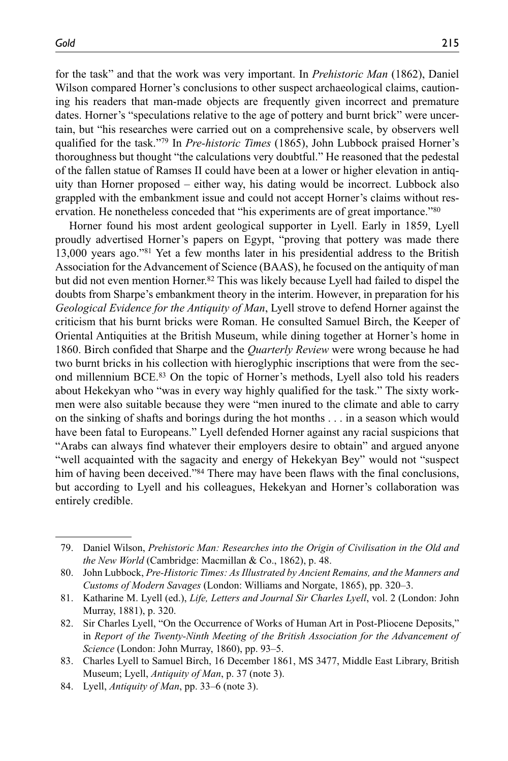for the task" and that the work was very important. In *Prehistoric Man* (1862), Daniel Wilson compared Horner's conclusions to other suspect archaeological claims, cautioning his readers that man-made objects are frequently given incorrect and premature dates. Horner's "speculations relative to the age of pottery and burnt brick" were uncertain, but "his researches were carried out on a comprehensive scale, by observers well qualified for the task."<sup>79</sup> In *Pre-historic Times* (1865), John Lubbock praised Horner's thoroughness but thought "the calculations very doubtful." He reasoned that the pedestal of the fallen statue of Ramses II could have been at a lower or higher elevation in antiquity than Horner proposed – either way, his dating would be incorrect. Lubbock also grappled with the embankment issue and could not accept Horner's claims without reservation. He nonetheless conceded that "his experiments are of great importance."<sup>80</sup>

Horner found his most ardent geological supporter in Lyell. Early in 1859, Lyell proudly advertised Horner's papers on Egypt, "proving that pottery was made there 13,000 years ago."<sup>81</sup> Yet a few months later in his presidential address to the British Association for the Advancement of Science (BAAS), he focused on the antiquity of man but did not even mention Horner.<sup>82</sup> This was likely because Lyell had failed to dispel the doubts from Sharpe's embankment theory in the interim. However, in preparation for his *Geological Evidence for the Antiquity of Man*, Lyell strove to defend Horner against the criticism that his burnt bricks were Roman. He consulted Samuel Birch, the Keeper of Oriental Antiquities at the British Museum, while dining together at Horner's home in 1860. Birch confided that Sharpe and the *Quarterly Review* were wrong because he had two burnt bricks in his collection with hieroglyphic inscriptions that were from the second millennium BCE.<sup>83</sup> On the topic of Horner's methods, Lyell also told his readers about Hekekyan who "was in every way highly qualified for the task." The sixty workmen were also suitable because they were "men inured to the climate and able to carry on the sinking of shafts and borings during the hot months . . . in a season which would have been fatal to Europeans." Lyell defended Horner against any racial suspicions that "Arabs can always find whatever their employers desire to obtain" and argued anyone "well acquainted with the sagacity and energy of Hekekyan Bey" would not "suspect him of having been deceived."<sup>84</sup> There may have been flaws with the final conclusions, but according to Lyell and his colleagues, Hekekyan and Horner's collaboration was entirely credible.

 <sup>79.</sup> Daniel Wilson, *Prehistoric Man: Researches into the Origin of Civilisation in the Old and the New World* (Cambridge: Macmillan & Co., 1862), p. 48.

 <sup>80.</sup> John Lubbock, *Pre-Historic Times: As Illustrated by Ancient Remains, and the Manners and Customs of Modern Savages* (London: Williams and Norgate, 1865), pp. 320–3.

 <sup>81.</sup> Katharine M. Lyell (ed.), *Life, Letters and Journal Sir Charles Lyell*, vol. 2 (London: John Murray, 1881), p. 320.

 <sup>82.</sup> Sir Charles Lyell, "On the Occurrence of Works of Human Art in Post-Pliocene Deposits," in *Report of the Twenty-Ninth Meeting of the British Association for the Advancement of Science* (London: John Murray, 1860), pp. 93–5.

 <sup>83.</sup> Charles Lyell to Samuel Birch, 16 December 1861, MS 3477, Middle East Library, British Museum; Lyell, *Antiquity of Man*, p. 37 (note 3).

 <sup>84.</sup> Lyell, *Antiquity of Man*, pp. 33–6 (note 3).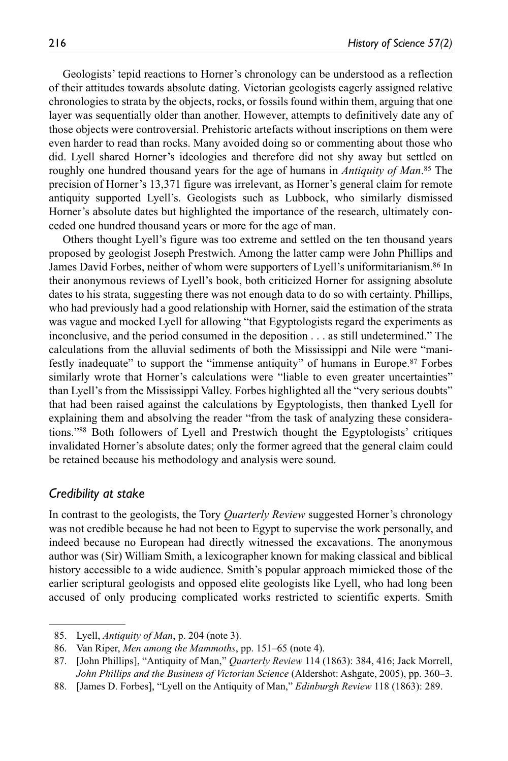Geologists' tepid reactions to Horner's chronology can be understood as a reflection of their attitudes towards absolute dating. Victorian geologists eagerly assigned relative chronologies to strata by the objects, rocks, or fossils found within them, arguing that one layer was sequentially older than another. However, attempts to definitively date any of those objects were controversial. Prehistoric artefacts without inscriptions on them were even harder to read than rocks. Many avoided doing so or commenting about those who did. Lyell shared Horner's ideologies and therefore did not shy away but settled on roughly one hundred thousand years for the age of humans in *Antiquity of Man*. <sup>85</sup> The precision of Horner's 13,371 figure was irrelevant, as Horner's general claim for remote antiquity supported Lyell's. Geologists such as Lubbock, who similarly dismissed Horner's absolute dates but highlighted the importance of the research, ultimately conceded one hundred thousand years or more for the age of man.

Others thought Lyell's figure was too extreme and settled on the ten thousand years proposed by geologist Joseph Prestwich. Among the latter camp were John Phillips and James David Forbes, neither of whom were supporters of Lyell's uniformitarianism.<sup>86</sup> In their anonymous reviews of Lyell's book, both criticized Horner for assigning absolute dates to his strata, suggesting there was not enough data to do so with certainty. Phillips, who had previously had a good relationship with Horner, said the estimation of the strata was vague and mocked Lyell for allowing "that Egyptologists regard the experiments as inconclusive, and the period consumed in the deposition . . . as still undetermined." The calculations from the alluvial sediments of both the Mississippi and Nile were "manifestly inadequate" to support the "immense antiquity" of humans in Europe.<sup>87</sup> Forbes similarly wrote that Horner's calculations were "liable to even greater uncertainties" than Lyell's from the Mississippi Valley. Forbes highlighted all the "very serious doubts" that had been raised against the calculations by Egyptologists, then thanked Lyell for explaining them and absolving the reader "from the task of analyzing these considerations."<sup>88</sup> Both followers of Lyell and Prestwich thought the Egyptologists' critiques invalidated Horner's absolute dates; only the former agreed that the general claim could be retained because his methodology and analysis were sound.

#### *Credibility at stake*

In contrast to the geologists, the Tory *Quarterly Review* suggested Horner's chronology was not credible because he had not been to Egypt to supervise the work personally, and indeed because no European had directly witnessed the excavations. The anonymous author was (Sir) William Smith, a lexicographer known for making classical and biblical history accessible to a wide audience. Smith's popular approach mimicked those of the earlier scriptural geologists and opposed elite geologists like Lyell, who had long been accused of only producing complicated works restricted to scientific experts. Smith

 <sup>85.</sup> Lyell, *Antiquity of Man*, p. 204 (note 3).

 <sup>86.</sup> Van Riper, *Men among the Mammoths*, pp. 151–65 (note 4).

 <sup>87. [</sup>John Phillips], "Antiquity of Man," *Quarterly Review* 114 (1863): 384, 416; Jack Morrell, *John Phillips and the Business of Victorian Science* (Aldershot: Ashgate, 2005), pp. 360–3.

 <sup>88. [</sup>James D. Forbes], "Lyell on the Antiquity of Man," *Edinburgh Review* 118 (1863): 289.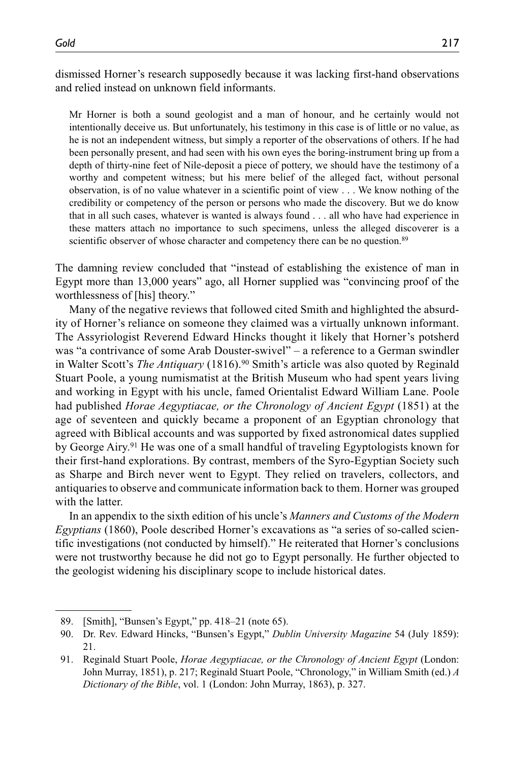dismissed Horner's research supposedly because it was lacking first-hand observations and relied instead on unknown field informants.

Mr Horner is both a sound geologist and a man of honour, and he certainly would not intentionally deceive us. But unfortunately, his testimony in this case is of little or no value, as he is not an independent witness, but simply a reporter of the observations of others. If he had been personally present, and had seen with his own eyes the boring-instrument bring up from a depth of thirty-nine feet of Nile-deposit a piece of pottery, we should have the testimony of a worthy and competent witness; but his mere belief of the alleged fact, without personal observation, is of no value whatever in a scientific point of view . . . We know nothing of the credibility or competency of the person or persons who made the discovery. But we do know that in all such cases, whatever is wanted is always found . . . all who have had experience in these matters attach no importance to such specimens, unless the alleged discoverer is a scientific observer of whose character and competency there can be no question.<sup>89</sup>

The damning review concluded that "instead of establishing the existence of man in Egypt more than 13,000 years" ago, all Horner supplied was "convincing proof of the worthlessness of [his] theory."

Many of the negative reviews that followed cited Smith and highlighted the absurdity of Horner's reliance on someone they claimed was a virtually unknown informant. The Assyriologist Reverend Edward Hincks thought it likely that Horner's potsherd was "a contrivance of some Arab Douster-swivel" – a reference to a German swindler in Walter Scott's *The Antiquary* (1816).<sup>90</sup> Smith's article was also quoted by Reginald Stuart Poole, a young numismatist at the British Museum who had spent years living and working in Egypt with his uncle, famed Orientalist Edward William Lane. Poole had published *Horae Aegyptiacae, or the Chronology of Ancient Egypt* (1851) at the age of seventeen and quickly became a proponent of an Egyptian chronology that agreed with Biblical accounts and was supported by fixed astronomical dates supplied by George Airy.<sup>91</sup> He was one of a small handful of traveling Egyptologists known for their first-hand explorations. By contrast, members of the Syro-Egyptian Society such as Sharpe and Birch never went to Egypt. They relied on travelers, collectors, and antiquaries to observe and communicate information back to them. Horner was grouped with the latter.

In an appendix to the sixth edition of his uncle's *Manners and Customs of the Modern Egyptians* (1860), Poole described Horner's excavations as "a series of so-called scientific investigations (not conducted by himself)." He reiterated that Horner's conclusions were not trustworthy because he did not go to Egypt personally. He further objected to the geologist widening his disciplinary scope to include historical dates.

 <sup>89. [</sup>Smith], "Bunsen's Egypt," pp. 418–21 (note 65).

 <sup>90.</sup> Dr. Rev. Edward Hincks, "Bunsen's Egypt," *Dublin University Magazine* 54 (July 1859): 21.

 <sup>91.</sup> Reginald Stuart Poole, *Horae Aegyptiacae, or the Chronology of Ancient Egypt* (London: John Murray, 1851), p. 217; Reginald Stuart Poole, "Chronology," in William Smith (ed.) *A Dictionary of the Bible*, vol. 1 (London: John Murray, 1863), p. 327.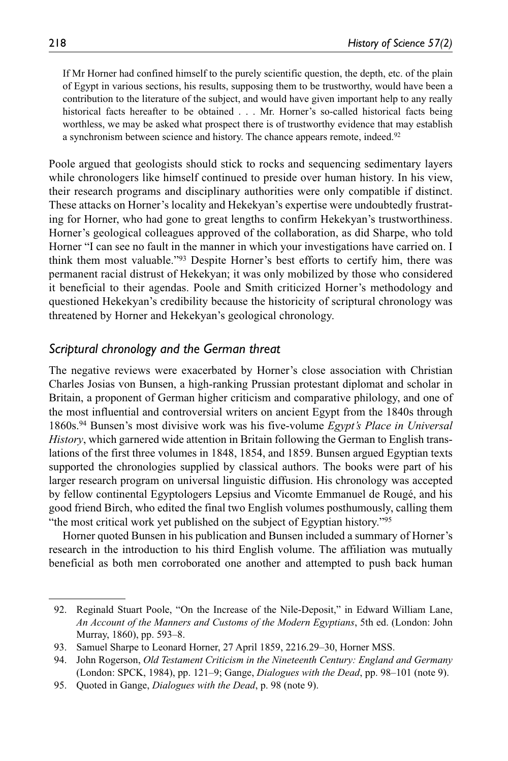If Mr Horner had confined himself to the purely scientific question, the depth, etc. of the plain of Egypt in various sections, his results, supposing them to be trustworthy, would have been a contribution to the literature of the subject, and would have given important help to any really historical facts hereafter to be obtained . . . Mr. Horner's so-called historical facts being worthless, we may be asked what prospect there is of trustworthy evidence that may establish a synchronism between science and history. The chance appears remote, indeed.<sup>92</sup>

Poole argued that geologists should stick to rocks and sequencing sedimentary layers while chronologers like himself continued to preside over human history. In his view, their research programs and disciplinary authorities were only compatible if distinct. These attacks on Horner's locality and Hekekyan's expertise were undoubtedly frustrating for Horner, who had gone to great lengths to confirm Hekekyan's trustworthiness. Horner's geological colleagues approved of the collaboration, as did Sharpe, who told Horner "I can see no fault in the manner in which your investigations have carried on. I think them most valuable."<sup>93</sup> Despite Horner's best efforts to certify him, there was permanent racial distrust of Hekekyan; it was only mobilized by those who considered it beneficial to their agendas. Poole and Smith criticized Horner's methodology and questioned Hekekyan's credibility because the historicity of scriptural chronology was threatened by Horner and Hekekyan's geological chronology.

### *Scriptural chronology and the German threat*

The negative reviews were exacerbated by Horner's close association with Christian Charles Josias von Bunsen, a high-ranking Prussian protestant diplomat and scholar in Britain, a proponent of German higher criticism and comparative philology, and one of the most influential and controversial writers on ancient Egypt from the 1840s through 1860s.<sup>94</sup> Bunsen's most divisive work was his five-volume *Egypt's Place in Universal History*, which garnered wide attention in Britain following the German to English translations of the first three volumes in 1848, 1854, and 1859. Bunsen argued Egyptian texts supported the chronologies supplied by classical authors. The books were part of his larger research program on universal linguistic diffusion. His chronology was accepted by fellow continental Egyptologers Lepsius and Vicomte Emmanuel de Rougé, and his good friend Birch, who edited the final two English volumes posthumously, calling them "the most critical work yet published on the subject of Egyptian history."<sup>95</sup>

Horner quoted Bunsen in his publication and Bunsen included a summary of Horner's research in the introduction to his third English volume. The affiliation was mutually beneficial as both men corroborated one another and attempted to push back human

 <sup>92.</sup> Reginald Stuart Poole, "On the Increase of the Nile-Deposit," in Edward William Lane, *An Account of the Manners and Customs of the Modern Egyptians*, 5th ed. (London: John Murray, 1860), pp. 593–8.

 <sup>93.</sup> Samuel Sharpe to Leonard Horner, 27 April 1859, 2216.29–30, Horner MSS.

 <sup>94.</sup> John Rogerson, *Old Testament Criticism in the Nineteenth Century: England and Germany* (London: SPCK, 1984), pp. 121–9; Gange, *Dialogues with the Dead*, pp. 98–101 (note 9).

 <sup>95.</sup> Quoted in Gange, *Dialogues with the Dead*, p. 98 (note 9).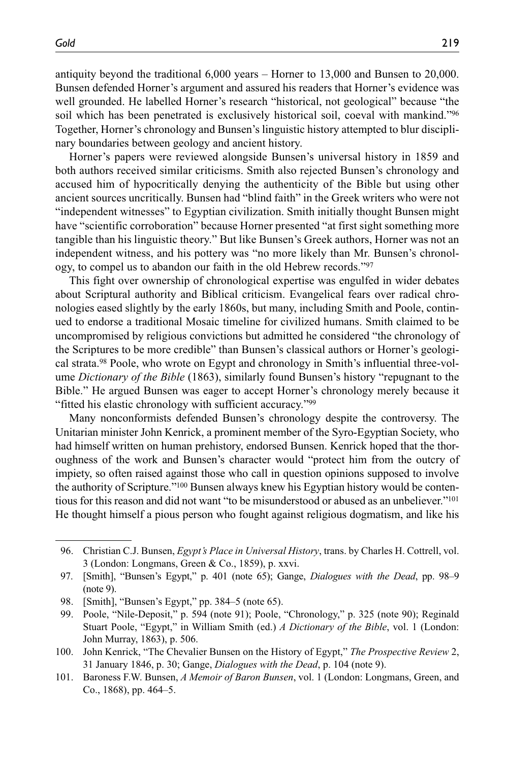antiquity beyond the traditional 6,000 years – Horner to 13,000 and Bunsen to 20,000. Bunsen defended Horner's argument and assured his readers that Horner's evidence was well grounded. He labelled Horner's research "historical, not geological" because "the soil which has been penetrated is exclusively historical soil, coeval with mankind."<sup>96</sup> Together, Horner's chronology and Bunsen's linguistic history attempted to blur disciplinary boundaries between geology and ancient history.

Horner's papers were reviewed alongside Bunsen's universal history in 1859 and both authors received similar criticisms. Smith also rejected Bunsen's chronology and accused him of hypocritically denying the authenticity of the Bible but using other ancient sources uncritically. Bunsen had "blind faith" in the Greek writers who were not "independent witnesses" to Egyptian civilization. Smith initially thought Bunsen might have "scientific corroboration" because Horner presented "at first sight something more tangible than his linguistic theory." But like Bunsen's Greek authors, Horner was not an independent witness, and his pottery was "no more likely than Mr. Bunsen's chronology, to compel us to abandon our faith in the old Hebrew records."<sup>97</sup>

This fight over ownership of chronological expertise was engulfed in wider debates about Scriptural authority and Biblical criticism. Evangelical fears over radical chronologies eased slightly by the early 1860s, but many, including Smith and Poole, continued to endorse a traditional Mosaic timeline for civilized humans. Smith claimed to be uncompromised by religious convictions but admitted he considered "the chronology of the Scriptures to be more credible" than Bunsen's classical authors or Horner's geological strata.98 Poole, who wrote on Egypt and chronology in Smith's influential three-volume *Dictionary of the Bible* (1863), similarly found Bunsen's history "repugnant to the Bible." He argued Bunsen was eager to accept Horner's chronology merely because it "fitted his elastic chronology with sufficient accuracy."<sup>99</sup>

Many nonconformists defended Bunsen's chronology despite the controversy. The Unitarian minister John Kenrick, a prominent member of the Syro-Egyptian Society, who had himself written on human prehistory, endorsed Bunsen. Kenrick hoped that the thoroughness of the work and Bunsen's character would "protect him from the outcry of impiety, so often raised against those who call in question opinions supposed to involve the authority of Scripture."100 Bunsen always knew his Egyptian history would be contentious for this reason and did not want "to be misunderstood or abused as an unbeliever."<sup>101</sup> He thought himself a pious person who fought against religious dogmatism, and like his

 <sup>96.</sup> Christian C.J. Bunsen, *Egypt's Place in Universal History*, trans. by Charles H. Cottrell, vol. 3 (London: Longmans, Green & Co., 1859), p. xxvi.

 <sup>97. [</sup>Smith], "Bunsen's Egypt," p. 401 (note 65); Gange, *Dialogues with the Dead*, pp. 98–9 (note 9).

 <sup>98. [</sup>Smith], "Bunsen's Egypt," pp. 384–5 (note 65).

 <sup>99.</sup> Poole, "Nile-Deposit," p. 594 (note 91); Poole, "Chronology," p. 325 (note 90); Reginald Stuart Poole, "Egypt," in William Smith (ed.) *A Dictionary of the Bible*, vol. 1 (London: John Murray, 1863), p. 506.

<sup>100.</sup> John Kenrick, "The Chevalier Bunsen on the History of Egypt," *The Prospective Review* 2, 31 January 1846, p. 30; Gange, *Dialogues with the Dead*, p. 104 (note 9).

<sup>101.</sup> Baroness F.W. Bunsen, *A Memoir of Baron Bunsen*, vol. 1 (London: Longmans, Green, and Co., 1868), pp. 464–5.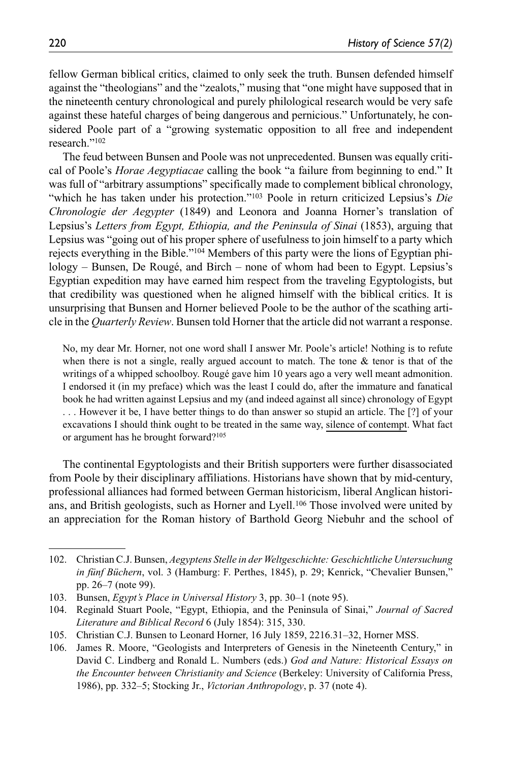fellow German biblical critics, claimed to only seek the truth. Bunsen defended himself against the "theologians" and the "zealots," musing that "one might have supposed that in the nineteenth century chronological and purely philological research would be very safe against these hateful charges of being dangerous and pernicious." Unfortunately, he considered Poole part of a "growing systematic opposition to all free and independent research."<sup>102</sup>

The feud between Bunsen and Poole was not unprecedented. Bunsen was equally critical of Poole's *Horae Aegyptiacae* calling the book "a failure from beginning to end." It was full of "arbitrary assumptions" specifically made to complement biblical chronology, "which he has taken under his protection."<sup>103</sup> Poole in return criticized Lepsius's *Die Chronologie der Aegypter* (1849) and Leonora and Joanna Horner's translation of Lepsius's *Letters from Egypt, Ethiopia, and the Peninsula of Sinai* (1853), arguing that Lepsius was "going out of his proper sphere of usefulness to join himself to a party which rejects everything in the Bible."104 Members of this party were the lions of Egyptian philology – Bunsen, De Rougé, and Birch – none of whom had been to Egypt. Lepsius's Egyptian expedition may have earned him respect from the traveling Egyptologists, but that credibility was questioned when he aligned himself with the biblical critics. It is unsurprising that Bunsen and Horner believed Poole to be the author of the scathing article in the *Quarterly Review*. Bunsen told Horner that the article did not warrant a response.

No, my dear Mr. Horner, not one word shall I answer Mr. Poole's article! Nothing is to refute when there is not a single, really argued account to match. The tone  $\&$  tenor is that of the writings of a whipped schoolboy. Rougé gave him 10 years ago a very well meant admonition. I endorsed it (in my preface) which was the least I could do, after the immature and fanatical book he had written against Lepsius and my (and indeed against all since) chronology of Egypt . . . However it be, I have better things to do than answer so stupid an article. The [?] of your excavations I should think ought to be treated in the same way, silence of contempt. What fact or argument has he brought forward?<sup>105</sup>

The continental Egyptologists and their British supporters were further disassociated from Poole by their disciplinary affiliations. Historians have shown that by mid-century, professional alliances had formed between German historicism, liberal Anglican historians, and British geologists, such as Horner and Lyell.<sup>106</sup> Those involved were united by an appreciation for the Roman history of Barthold Georg Niebuhr and the school of

<sup>102.</sup> Christian C.J. Bunsen, *Aegyptens Stelle in der Weltgeschichte: Geschichtliche Untersuchung in fünf Büchern*, vol. 3 (Hamburg: F. Perthes, 1845), p. 29; Kenrick, "Chevalier Bunsen," pp. 26–7 (note 99).

<sup>103.</sup> Bunsen, *Egypt's Place in Universal History* 3, pp. 30–1 (note 95).

<sup>104.</sup> Reginald Stuart Poole, "Egypt, Ethiopia, and the Peninsula of Sinai," *Journal of Sacred Literature and Biblical Record* 6 (July 1854): 315, 330.

<sup>105.</sup> Christian C.J. Bunsen to Leonard Horner, 16 July 1859, 2216.31–32, Horner MSS.

<sup>106.</sup> James R. Moore, "Geologists and Interpreters of Genesis in the Nineteenth Century," in David C. Lindberg and Ronald L. Numbers (eds.) *God and Nature: Historical Essays on the Encounter between Christianity and Science* (Berkeley: University of California Press, 1986), pp. 332–5; Stocking Jr., *Victorian Anthropology*, p. 37 (note 4).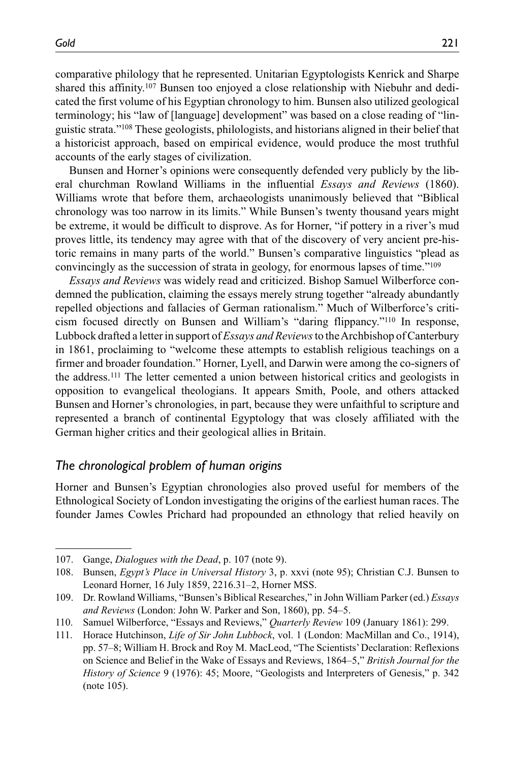comparative philology that he represented. Unitarian Egyptologists Kenrick and Sharpe shared this affinity.<sup>107</sup> Bunsen too enjoyed a close relationship with Niebuhr and dedicated the first volume of his Egyptian chronology to him. Bunsen also utilized geological terminology; his "law of [language] development" was based on a close reading of "linguistic strata."<sup>108</sup> These geologists, philologists, and historians aligned in their belief that a historicist approach, based on empirical evidence, would produce the most truthful accounts of the early stages of civilization.

Bunsen and Horner's opinions were consequently defended very publicly by the liberal churchman Rowland Williams in the influential *Essays and Reviews* (1860). Williams wrote that before them, archaeologists unanimously believed that "Biblical chronology was too narrow in its limits." While Bunsen's twenty thousand years might be extreme, it would be difficult to disprove. As for Horner, "if pottery in a river's mud proves little, its tendency may agree with that of the discovery of very ancient pre-historic remains in many parts of the world." Bunsen's comparative linguistics "plead as convincingly as the succession of strata in geology, for enormous lapses of time."<sup>109</sup>

*Essays and Reviews* was widely read and criticized. Bishop Samuel Wilberforce condemned the publication, claiming the essays merely strung together "already abundantly repelled objections and fallacies of German rationalism." Much of Wilberforce's criticism focused directly on Bunsen and William's "daring flippancy."<sup>110</sup> In response, Lubbock drafted a letter in support of *Essays and Reviews* to the Archbishop of Canterbury in 1861, proclaiming to "welcome these attempts to establish religious teachings on a firmer and broader foundation." Horner, Lyell, and Darwin were among the co-signers of the address.<sup>111</sup> The letter cemented a union between historical critics and geologists in opposition to evangelical theologians. It appears Smith, Poole, and others attacked Bunsen and Horner's chronologies, in part, because they were unfaithful to scripture and represented a branch of continental Egyptology that was closely affiliated with the German higher critics and their geological allies in Britain.

#### *The chronological problem of human origins*

Horner and Bunsen's Egyptian chronologies also proved useful for members of the Ethnological Society of London investigating the origins of the earliest human races. The founder James Cowles Prichard had propounded an ethnology that relied heavily on

<sup>107.</sup> Gange, *Dialogues with the Dead*, p. 107 (note 9).

<sup>108.</sup> Bunsen, *Egypt's Place in Universal History* 3, p. xxvi (note 95); Christian C.J. Bunsen to Leonard Horner, 16 July 1859, 2216.31–2, Horner MSS.

<sup>109.</sup> Dr. Rowland Williams, "Bunsen's Biblical Researches," in John William Parker (ed.) *Essays and Reviews* (London: John W. Parker and Son, 1860), pp. 54–5.

<sup>110.</sup> Samuel Wilberforce, "Essays and Reviews," *Quarterly Review* 109 (January 1861): 299.

<sup>111.</sup> Horace Hutchinson, *Life of Sir John Lubbock*, vol. 1 (London: MacMillan and Co., 1914), pp. 57–8; William H. Brock and Roy M. MacLeod, "The Scientists' Declaration: Reflexions on Science and Belief in the Wake of Essays and Reviews, 1864–5," *British Journal for the History of Science* 9 (1976): 45; Moore, "Geologists and Interpreters of Genesis," p. 342 (note 105).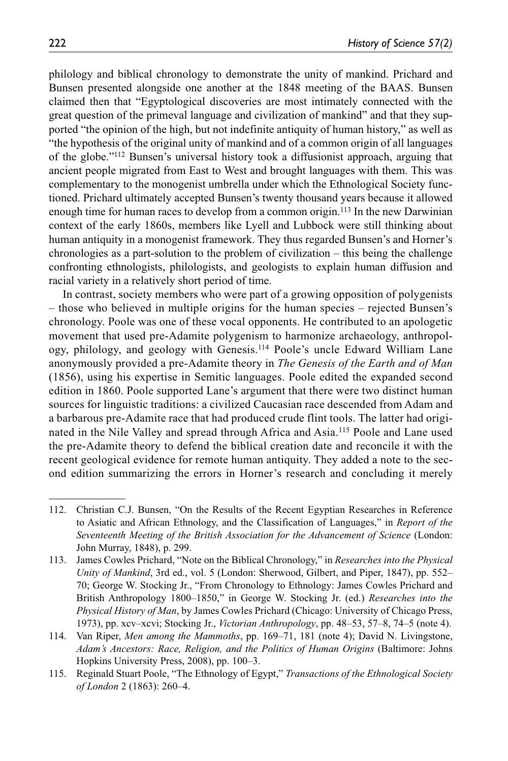philology and biblical chronology to demonstrate the unity of mankind. Prichard and Bunsen presented alongside one another at the 1848 meeting of the BAAS. Bunsen claimed then that "Egyptological discoveries are most intimately connected with the great question of the primeval language and civilization of mankind" and that they supported "the opinion of the high, but not indefinite antiquity of human history," as well as "the hypothesis of the original unity of mankind and of a common origin of all languages of the globe."<sup>112</sup> Bunsen's universal history took a diffusionist approach, arguing that ancient people migrated from East to West and brought languages with them. This was complementary to the monogenist umbrella under which the Ethnological Society functioned. Prichard ultimately accepted Bunsen's twenty thousand years because it allowed enough time for human races to develop from a common origin.<sup>113</sup> In the new Darwinian context of the early 1860s, members like Lyell and Lubbock were still thinking about human antiquity in a monogenist framework. They thus regarded Bunsen's and Horner's chronologies as a part-solution to the problem of civilization – this being the challenge confronting ethnologists, philologists, and geologists to explain human diffusion and racial variety in a relatively short period of time.

In contrast, society members who were part of a growing opposition of polygenists – those who believed in multiple origins for the human species – rejected Bunsen's chronology. Poole was one of these vocal opponents. He contributed to an apologetic movement that used pre-Adamite polygenism to harmonize archaeology, anthropology, philology, and geology with Genesis.<sup>114</sup> Poole's uncle Edward William Lane anonymously provided a pre-Adamite theory in *The Genesis of the Earth and of Man* (1856), using his expertise in Semitic languages. Poole edited the expanded second edition in 1860. Poole supported Lane's argument that there were two distinct human sources for linguistic traditions: a civilized Caucasian race descended from Adam and a barbarous pre-Adamite race that had produced crude flint tools. The latter had originated in the Nile Valley and spread through Africa and Asia.<sup>115</sup> Poole and Lane used the pre-Adamite theory to defend the biblical creation date and reconcile it with the recent geological evidence for remote human antiquity. They added a note to the second edition summarizing the errors in Horner's research and concluding it merely

<sup>112.</sup> Christian C.J. Bunsen, "On the Results of the Recent Egyptian Researches in Reference to Asiatic and African Ethnology, and the Classification of Languages," in *Report of the Seventeenth Meeting of the British Association for the Advancement of Science* (London: John Murray, 1848), p. 299.

<sup>113.</sup> James Cowles Prichard, "Note on the Biblical Chronology," in *Researches into the Physical Unity of Mankind*, 3rd ed., vol. 5 (London: Sherwood, Gilbert, and Piper, 1847), pp. 552– 70; George W. Stocking Jr., "From Chronology to Ethnology: James Cowles Prichard and British Anthropology 1800–1850," in George W. Stocking Jr. (ed.) *Researches into the Physical History of Man*, by James Cowles Prichard (Chicago: University of Chicago Press, 1973), pp. xcv–xcvi; Stocking Jr., *Victorian Anthropology*, pp. 48–53, 57–8, 74–5 (note 4).

<sup>114.</sup> Van Riper, *Men among the Mammoths*, pp. 169–71, 181 (note 4); David N. Livingstone, *Adam's Ancestors: Race, Religion, and the Politics of Human Origins* (Baltimore: Johns Hopkins University Press, 2008), pp. 100–3.

<sup>115.</sup> Reginald Stuart Poole, "The Ethnology of Egypt," *Transactions of the Ethnological Society of London* 2 (1863): 260–4.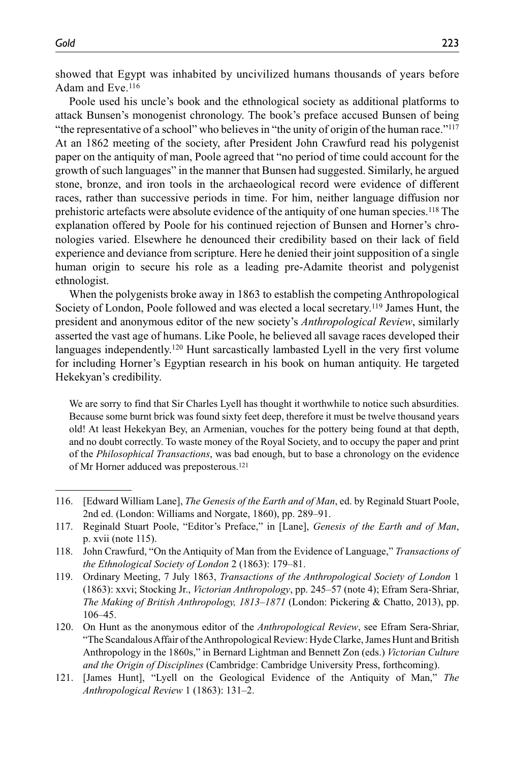showed that Egypt was inhabited by uncivilized humans thousands of years before Adam and Eve.<sup>116</sup>

Poole used his uncle's book and the ethnological society as additional platforms to attack Bunsen's monogenist chronology. The book's preface accused Bunsen of being "the representative of a school" who believes in "the unity of origin of the human race."<sup>117</sup> At an 1862 meeting of the society, after President John Crawfurd read his polygenist paper on the antiquity of man, Poole agreed that "no period of time could account for the growth of such languages" in the manner that Bunsen had suggested. Similarly, he argued stone, bronze, and iron tools in the archaeological record were evidence of different races, rather than successive periods in time. For him, neither language diffusion nor prehistoric artefacts were absolute evidence of the antiquity of one human species.<sup>118</sup> The explanation offered by Poole for his continued rejection of Bunsen and Horner's chronologies varied. Elsewhere he denounced their credibility based on their lack of field experience and deviance from scripture. Here he denied their joint supposition of a single human origin to secure his role as a leading pre-Adamite theorist and polygenist ethnologist.

When the polygenists broke away in 1863 to establish the competing Anthropological Society of London, Poole followed and was elected a local secretary.<sup>119</sup> James Hunt, the president and anonymous editor of the new society's *Anthropological Review*, similarly asserted the vast age of humans. Like Poole, he believed all savage races developed their languages independently.<sup>120</sup> Hunt sarcastically lambasted Lyell in the very first volume for including Horner's Egyptian research in his book on human antiquity. He targeted Hekekyan's credibility.

We are sorry to find that Sir Charles Lyell has thought it worthwhile to notice such absurdities. Because some burnt brick was found sixty feet deep, therefore it must be twelve thousand years old! At least Hekekyan Bey, an Armenian, vouches for the pottery being found at that depth, and no doubt correctly. To waste money of the Royal Society, and to occupy the paper and print of the *Philosophical Transactions*, was bad enough, but to base a chronology on the evidence of Mr Horner adduced was preposterous.121

<sup>116. [</sup>Edward William Lane], *The Genesis of the Earth and of Man*, ed. by Reginald Stuart Poole, 2nd ed. (London: Williams and Norgate, 1860), pp. 289–91.

<sup>117.</sup> Reginald Stuart Poole, "Editor's Preface," in [Lane], *Genesis of the Earth and of Man*, p. xvii (note 115).

<sup>118.</sup> John Crawfurd, "On the Antiquity of Man from the Evidence of Language," *Transactions of the Ethnological Society of London* 2 (1863): 179–81.

<sup>119.</sup> Ordinary Meeting, 7 July 1863, *Transactions of the Anthropological Society of London* 1 (1863): xxvi; Stocking Jr., *Victorian Anthropology*, pp. 245–57 (note 4); Efram Sera-Shriar, *The Making of British Anthropology, 1813–1871* (London: Pickering & Chatto, 2013), pp. 106–45.

<sup>120.</sup> On Hunt as the anonymous editor of the *Anthropological Review*, see Efram Sera-Shriar, "The Scandalous Affair of the Anthropological Review: Hyde Clarke, James Hunt and British Anthropology in the 1860s," in Bernard Lightman and Bennett Zon (eds.) *Victorian Culture and the Origin of Disciplines* (Cambridge: Cambridge University Press, forthcoming).

<sup>121. [</sup>James Hunt], "Lyell on the Geological Evidence of the Antiquity of Man," *The Anthropological Review* 1 (1863): 131–2.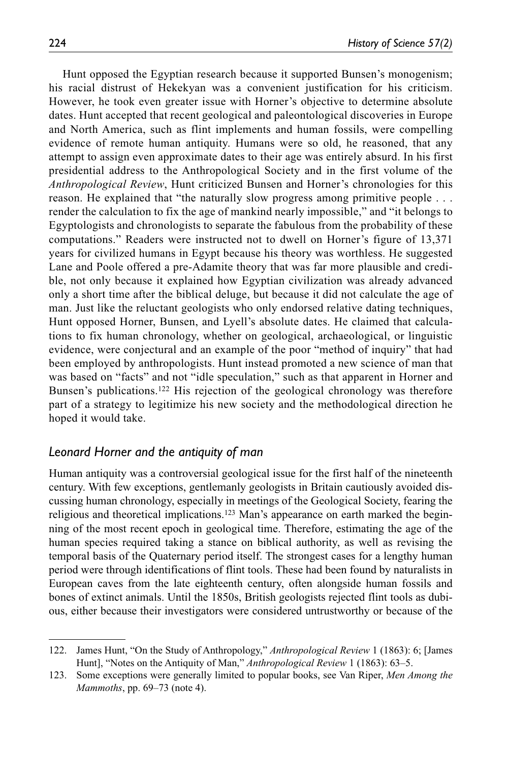Hunt opposed the Egyptian research because it supported Bunsen's monogenism; his racial distrust of Hekekyan was a convenient justification for his criticism. However, he took even greater issue with Horner's objective to determine absolute dates. Hunt accepted that recent geological and paleontological discoveries in Europe and North America, such as flint implements and human fossils, were compelling evidence of remote human antiquity. Humans were so old, he reasoned, that any attempt to assign even approximate dates to their age was entirely absurd. In his first presidential address to the Anthropological Society and in the first volume of the *Anthropological Review*, Hunt criticized Bunsen and Horner's chronologies for this reason. He explained that "the naturally slow progress among primitive people . . . render the calculation to fix the age of mankind nearly impossible," and "it belongs to Egyptologists and chronologists to separate the fabulous from the probability of these computations." Readers were instructed not to dwell on Horner's figure of 13,371 years for civilized humans in Egypt because his theory was worthless. He suggested Lane and Poole offered a pre-Adamite theory that was far more plausible and credible, not only because it explained how Egyptian civilization was already advanced only a short time after the biblical deluge, but because it did not calculate the age of man. Just like the reluctant geologists who only endorsed relative dating techniques, Hunt opposed Horner, Bunsen, and Lyell's absolute dates. He claimed that calculations to fix human chronology, whether on geological, archaeological, or linguistic evidence, were conjectural and an example of the poor "method of inquiry" that had been employed by anthropologists. Hunt instead promoted a new science of man that was based on "facts" and not "idle speculation," such as that apparent in Horner and Bunsen's publications.<sup>122</sup> His rejection of the geological chronology was therefore part of a strategy to legitimize his new society and the methodological direction he hoped it would take.

### *Leonard Horner and the antiquity of man*

Human antiquity was a controversial geological issue for the first half of the nineteenth century. With few exceptions, gentlemanly geologists in Britain cautiously avoided discussing human chronology, especially in meetings of the Geological Society, fearing the religious and theoretical implications.123 Man's appearance on earth marked the beginning of the most recent epoch in geological time. Therefore, estimating the age of the human species required taking a stance on biblical authority, as well as revising the temporal basis of the Quaternary period itself. The strongest cases for a lengthy human period were through identifications of flint tools. These had been found by naturalists in European caves from the late eighteenth century, often alongside human fossils and bones of extinct animals. Until the 1850s, British geologists rejected flint tools as dubious, either because their investigators were considered untrustworthy or because of the

<sup>122.</sup> James Hunt, "On the Study of Anthropology," *Anthropological Review* 1 (1863): 6; [James Hunt], "Notes on the Antiquity of Man," *Anthropological Review* 1 (1863): 63–5.

<sup>123.</sup> Some exceptions were generally limited to popular books, see Van Riper, *Men Among the Mammoths*, pp. 69–73 (note 4).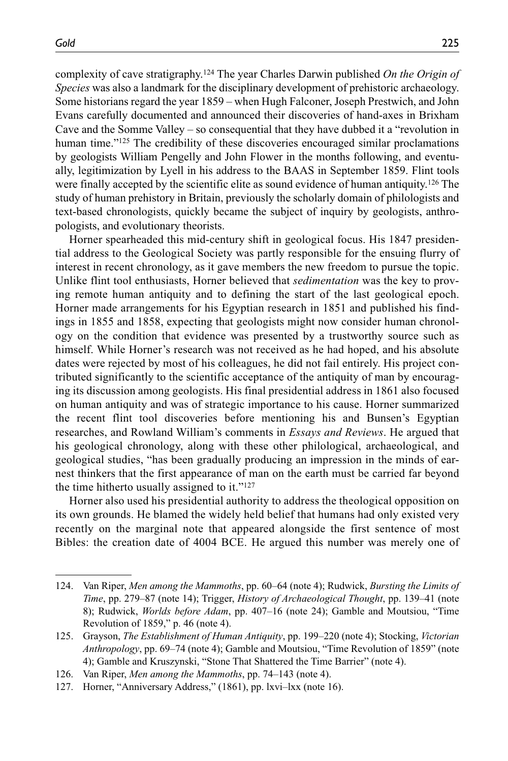complexity of cave stratigraphy.<sup>124</sup> The year Charles Darwin published *On the Origin of Species* was also a landmark for the disciplinary development of prehistoric archaeology. Some historians regard the year 1859 – when Hugh Falconer, Joseph Prestwich, and John Evans carefully documented and announced their discoveries of hand-axes in Brixham Cave and the Somme Valley – so consequential that they have dubbed it a "revolution in human time."<sup>125</sup> The credibility of these discoveries encouraged similar proclamations by geologists William Pengelly and John Flower in the months following, and eventually, legitimization by Lyell in his address to the BAAS in September 1859. Flint tools were finally accepted by the scientific elite as sound evidence of human antiquity.<sup>126</sup> The study of human prehistory in Britain, previously the scholarly domain of philologists and text-based chronologists, quickly became the subject of inquiry by geologists, anthropologists, and evolutionary theorists.

Horner spearheaded this mid-century shift in geological focus. His 1847 presidential address to the Geological Society was partly responsible for the ensuing flurry of interest in recent chronology, as it gave members the new freedom to pursue the topic. Unlike flint tool enthusiasts, Horner believed that *sedimentation* was the key to proving remote human antiquity and to defining the start of the last geological epoch. Horner made arrangements for his Egyptian research in 1851 and published his findings in 1855 and 1858, expecting that geologists might now consider human chronology on the condition that evidence was presented by a trustworthy source such as himself. While Horner's research was not received as he had hoped, and his absolute dates were rejected by most of his colleagues, he did not fail entirely. His project contributed significantly to the scientific acceptance of the antiquity of man by encouraging its discussion among geologists. His final presidential address in 1861 also focused on human antiquity and was of strategic importance to his cause. Horner summarized the recent flint tool discoveries before mentioning his and Bunsen's Egyptian researches, and Rowland William's comments in *Essays and Reviews*. He argued that his geological chronology, along with these other philological, archaeological, and geological studies, "has been gradually producing an impression in the minds of earnest thinkers that the first appearance of man on the earth must be carried far beyond the time hitherto usually assigned to it."<sup>127</sup>

Horner also used his presidential authority to address the theological opposition on its own grounds. He blamed the widely held belief that humans had only existed very recently on the marginal note that appeared alongside the first sentence of most Bibles: the creation date of 4004 BCE. He argued this number was merely one of

<sup>124.</sup> Van Riper, *Men among the Mammoths*, pp. 60–64 (note 4); Rudwick, *Bursting the Limits of Time*, pp. 279–87 (note 14); Trigger, *History of Archaeological Thought*, pp. 139–41 (note 8); Rudwick, *Worlds before Adam*, pp. 407–16 (note 24); Gamble and Moutsiou, "Time Revolution of 1859," p. 46 (note 4).

<sup>125.</sup> Grayson, *The Establishment of Human Antiquity*, pp. 199–220 (note 4); Stocking, *Victorian Anthropology*, pp. 69–74 (note 4); Gamble and Moutsiou, "Time Revolution of 1859" (note 4); Gamble and Kruszynski, "Stone That Shattered the Time Barrier" (note 4).

<sup>126.</sup> Van Riper, *Men among the Mammoths*, pp. 74–143 (note 4).

<sup>127.</sup> Horner, "Anniversary Address," (1861), pp. lxvi–lxx (note 16).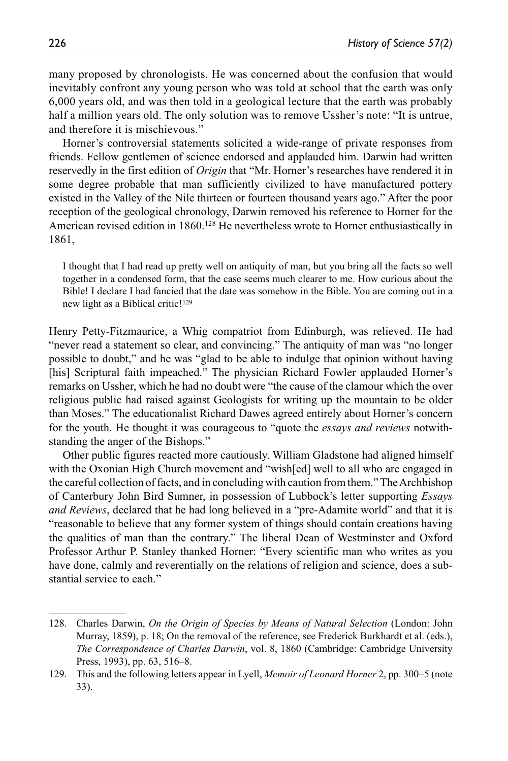many proposed by chronologists. He was concerned about the confusion that would inevitably confront any young person who was told at school that the earth was only 6,000 years old, and was then told in a geological lecture that the earth was probably half a million years old. The only solution was to remove Ussher's note: "It is untrue, and therefore it is mischievous."

Horner's controversial statements solicited a wide-range of private responses from friends. Fellow gentlemen of science endorsed and applauded him. Darwin had written reservedly in the first edition of *Origin* that "Mr. Horner's researches have rendered it in some degree probable that man sufficiently civilized to have manufactured pottery existed in the Valley of the Nile thirteen or fourteen thousand years ago." After the poor reception of the geological chronology, Darwin removed his reference to Horner for the American revised edition in 1860.<sup>128</sup> He nevertheless wrote to Horner enthusiastically in 1861,

I thought that I had read up pretty well on antiquity of man, but you bring all the facts so well together in a condensed form, that the case seems much clearer to me. How curious about the Bible! I declare I had fancied that the date was somehow in the Bible. You are coming out in a new light as a Biblical critic!<sup>129</sup>

Henry Petty-Fitzmaurice, a Whig compatriot from Edinburgh, was relieved. He had "never read a statement so clear, and convincing." The antiquity of man was "no longer possible to doubt," and he was "glad to be able to indulge that opinion without having [his] Scriptural faith impeached." The physician Richard Fowler applauded Horner's remarks on Ussher, which he had no doubt were "the cause of the clamour which the over religious public had raised against Geologists for writing up the mountain to be older than Moses." The educationalist Richard Dawes agreed entirely about Horner's concern for the youth. He thought it was courageous to "quote the *essays and reviews* notwithstanding the anger of the Bishops."

Other public figures reacted more cautiously. William Gladstone had aligned himself with the Oxonian High Church movement and "wish[ed] well to all who are engaged in the careful collection of facts, and in concluding with caution from them." The Archbishop of Canterbury John Bird Sumner, in possession of Lubbock's letter supporting *Essays and Reviews*, declared that he had long believed in a "pre-Adamite world" and that it is "reasonable to believe that any former system of things should contain creations having the qualities of man than the contrary." The liberal Dean of Westminster and Oxford Professor Arthur P. Stanley thanked Horner: "Every scientific man who writes as you have done, calmly and reverentially on the relations of religion and science, does a substantial service to each."

<sup>128.</sup> Charles Darwin, *On the Origin of Species by Means of Natural Selection* (London: John Murray, 1859), p. 18; On the removal of the reference, see Frederick Burkhardt et al. (eds.), *The Correspondence of Charles Darwin*, vol. 8, 1860 (Cambridge: Cambridge University Press, 1993), pp. 63, 516–8.

<sup>129.</sup> This and the following letters appear in Lyell, *Memoir of Leonard Horner* 2, pp. 300–5 (note 33).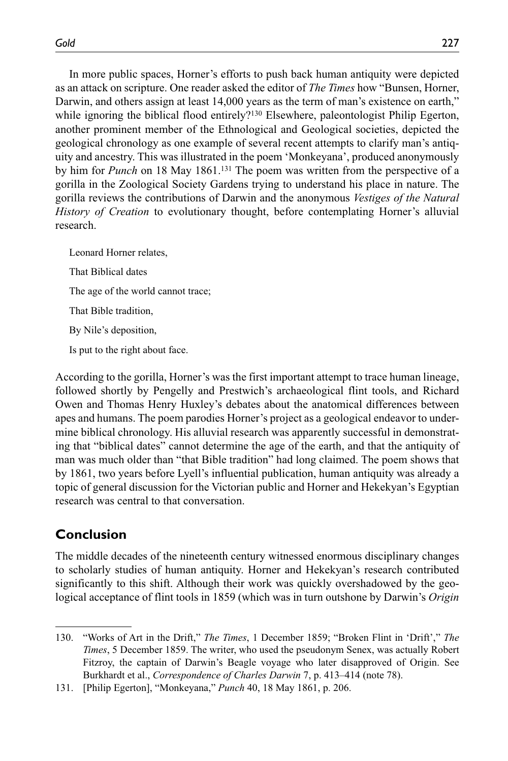In more public spaces, Horner's efforts to push back human antiquity were depicted as an attack on scripture. One reader asked the editor of *The Times* how "Bunsen, Horner, Darwin, and others assign at least 14,000 years as the term of man's existence on earth," while ignoring the biblical flood entirely?<sup>130</sup> Elsewhere, paleontologist Philip Egerton, another prominent member of the Ethnological and Geological societies, depicted the geological chronology as one example of several recent attempts to clarify man's antiquity and ancestry. This was illustrated in the poem 'Monkeyana', produced anonymously by him for *Punch* on 18 May 1861.<sup>131</sup> The poem was written from the perspective of a gorilla in the Zoological Society Gardens trying to understand his place in nature. The gorilla reviews the contributions of Darwin and the anonymous *Vestiges of the Natural History of Creation* to evolutionary thought, before contemplating Horner's alluvial research.

Leonard Horner relates, That Biblical dates The age of the world cannot trace; That Bible tradition, By Nile's deposition, Is put to the right about face.

According to the gorilla, Horner's was the first important attempt to trace human lineage, followed shortly by Pengelly and Prestwich's archaeological flint tools, and Richard Owen and Thomas Henry Huxley's debates about the anatomical differences between apes and humans. The poem parodies Horner's project as a geological endeavor to undermine biblical chronology. His alluvial research was apparently successful in demonstrating that "biblical dates" cannot determine the age of the earth, and that the antiquity of man was much older than "that Bible tradition" had long claimed. The poem shows that by 1861, two years before Lyell's influential publication, human antiquity was already a topic of general discussion for the Victorian public and Horner and Hekekyan's Egyptian research was central to that conversation.

### **Conclusion**

The middle decades of the nineteenth century witnessed enormous disciplinary changes to scholarly studies of human antiquity. Horner and Hekekyan's research contributed significantly to this shift. Although their work was quickly overshadowed by the geological acceptance of flint tools in 1859 (which was in turn outshone by Darwin's *Origin* 

<sup>130. &</sup>quot;Works of Art in the Drift," *The Times*, 1 December 1859; "Broken Flint in 'Drift'," *The Times*, 5 December 1859. The writer, who used the pseudonym Senex, was actually Robert Fitzroy, the captain of Darwin's Beagle voyage who later disapproved of Origin. See Burkhardt et al., *Correspondence of Charles Darwin* 7, p. 413–414 (note 78).

<sup>131. [</sup>Philip Egerton], "Monkeyana," *Punch* 40, 18 May 1861, p. 206.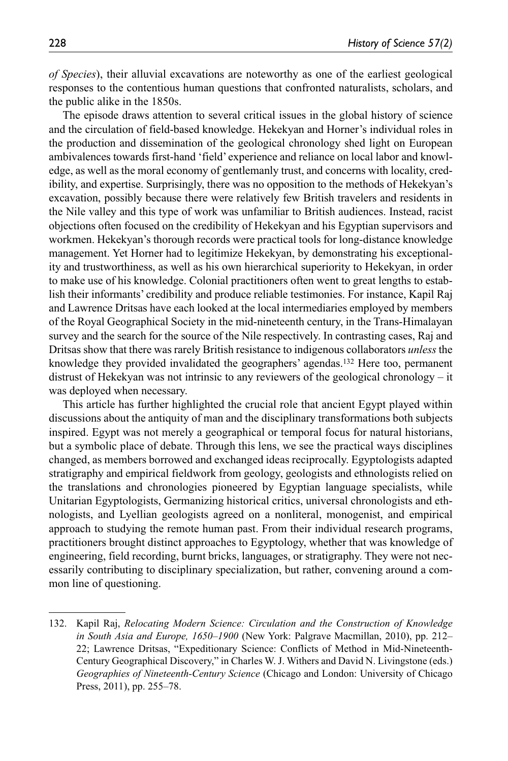*of Species*), their alluvial excavations are noteworthy as one of the earliest geological responses to the contentious human questions that confronted naturalists, scholars, and the public alike in the 1850s.

The episode draws attention to several critical issues in the global history of science and the circulation of field-based knowledge. Hekekyan and Horner's individual roles in the production and dissemination of the geological chronology shed light on European ambivalences towards first-hand 'field' experience and reliance on local labor and knowledge, as well as the moral economy of gentlemanly trust, and concerns with locality, credibility, and expertise. Surprisingly, there was no opposition to the methods of Hekekyan's excavation, possibly because there were relatively few British travelers and residents in the Nile valley and this type of work was unfamiliar to British audiences. Instead, racist objections often focused on the credibility of Hekekyan and his Egyptian supervisors and workmen. Hekekyan's thorough records were practical tools for long-distance knowledge management. Yet Horner had to legitimize Hekekyan, by demonstrating his exceptionality and trustworthiness, as well as his own hierarchical superiority to Hekekyan, in order to make use of his knowledge. Colonial practitioners often went to great lengths to establish their informants' credibility and produce reliable testimonies. For instance, Kapil Raj and Lawrence Dritsas have each looked at the local intermediaries employed by members of the Royal Geographical Society in the mid-nineteenth century, in the Trans-Himalayan survey and the search for the source of the Nile respectively. In contrasting cases, Raj and Dritsas show that there was rarely British resistance to indigenous collaborators *unless* the knowledge they provided invalidated the geographers' agendas.<sup>132</sup> Here too, permanent distrust of Hekekyan was not intrinsic to any reviewers of the geological chronology – it was deployed when necessary.

This article has further highlighted the crucial role that ancient Egypt played within discussions about the antiquity of man and the disciplinary transformations both subjects inspired. Egypt was not merely a geographical or temporal focus for natural historians, but a symbolic place of debate. Through this lens, we see the practical ways disciplines changed, as members borrowed and exchanged ideas reciprocally. Egyptologists adapted stratigraphy and empirical fieldwork from geology, geologists and ethnologists relied on the translations and chronologies pioneered by Egyptian language specialists, while Unitarian Egyptologists, Germanizing historical critics, universal chronologists and ethnologists, and Lyellian geologists agreed on a nonliteral, monogenist, and empirical approach to studying the remote human past. From their individual research programs, practitioners brought distinct approaches to Egyptology, whether that was knowledge of engineering, field recording, burnt bricks, languages, or stratigraphy. They were not necessarily contributing to disciplinary specialization, but rather, convening around a common line of questioning.

<sup>132.</sup> Kapil Raj, *Relocating Modern Science: Circulation and the Construction of Knowledge in South Asia and Europe, 1650–1900* (New York: Palgrave Macmillan, 2010), pp. 212– 22; Lawrence Dritsas, "Expeditionary Science: Conflicts of Method in Mid-Nineteenth-Century Geographical Discovery," in Charles W. J. Withers and David N. Livingstone (eds.) *Geographies of Nineteenth-Century Science* (Chicago and London: University of Chicago Press, 2011), pp. 255–78.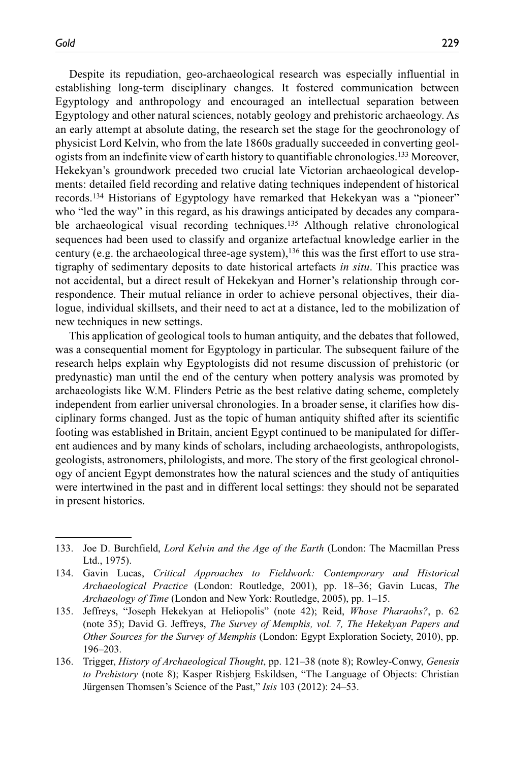Despite its repudiation, geo-archaeological research was especially influential in establishing long-term disciplinary changes. It fostered communication between Egyptology and anthropology and encouraged an intellectual separation between Egyptology and other natural sciences, notably geology and prehistoric archaeology. As an early attempt at absolute dating, the research set the stage for the geochronology of physicist Lord Kelvin, who from the late 1860s gradually succeeded in converting geologists from an indefinite view of earth history to quantifiable chronologies.<sup>133</sup> Moreover, Hekekyan's groundwork preceded two crucial late Victorian archaeological developments: detailed field recording and relative dating techniques independent of historical records.<sup>134</sup> Historians of Egyptology have remarked that Hekekyan was a "pioneer" who "led the way" in this regard, as his drawings anticipated by decades any comparable archaeological visual recording techniques.<sup>135</sup> Although relative chronological sequences had been used to classify and organize artefactual knowledge earlier in the century (e.g. the archaeological three-age system), $136$  this was the first effort to use stratigraphy of sedimentary deposits to date historical artefacts *in situ*. This practice was not accidental, but a direct result of Hekekyan and Horner's relationship through correspondence. Their mutual reliance in order to achieve personal objectives, their dialogue, individual skillsets, and their need to act at a distance, led to the mobilization of new techniques in new settings.

This application of geological tools to human antiquity, and the debates that followed, was a consequential moment for Egyptology in particular. The subsequent failure of the research helps explain why Egyptologists did not resume discussion of prehistoric (or predynastic) man until the end of the century when pottery analysis was promoted by archaeologists like W.M. Flinders Petrie as the best relative dating scheme, completely independent from earlier universal chronologies. In a broader sense, it clarifies how disciplinary forms changed. Just as the topic of human antiquity shifted after its scientific footing was established in Britain, ancient Egypt continued to be manipulated for different audiences and by many kinds of scholars, including archaeologists, anthropologists, geologists, astronomers, philologists, and more. The story of the first geological chronology of ancient Egypt demonstrates how the natural sciences and the study of antiquities were intertwined in the past and in different local settings: they should not be separated in present histories.

<sup>133.</sup> Joe D. Burchfield, *Lord Kelvin and the Age of the Earth* (London: The Macmillan Press Ltd., 1975).

<sup>134.</sup> Gavin Lucas, *Critical Approaches to Fieldwork: Contemporary and Historical Archaeological Practice* (London: Routledge, 2001), pp. 18–36; Gavin Lucas, *The Archaeology of Time* (London and New York: Routledge, 2005), pp. 1–15.

<sup>135.</sup> Jeffreys, "Joseph Hekekyan at Heliopolis" (note 42); Reid, *Whose Pharaohs?*, p. 62 (note 35); David G. Jeffreys, *The Survey of Memphis, vol. 7, The Hekekyan Papers and Other Sources for the Survey of Memphis* (London: Egypt Exploration Society, 2010), pp. 196–203.

<sup>136.</sup> Trigger, *History of Archaeological Thought*, pp. 121–38 (note 8); Rowley-Conwy, *Genesis to Prehistory* (note 8); Kasper Risbjerg Eskildsen, "The Language of Objects: Christian Jürgensen Thomsen's Science of the Past," *Isis* 103 (2012): 24–53.